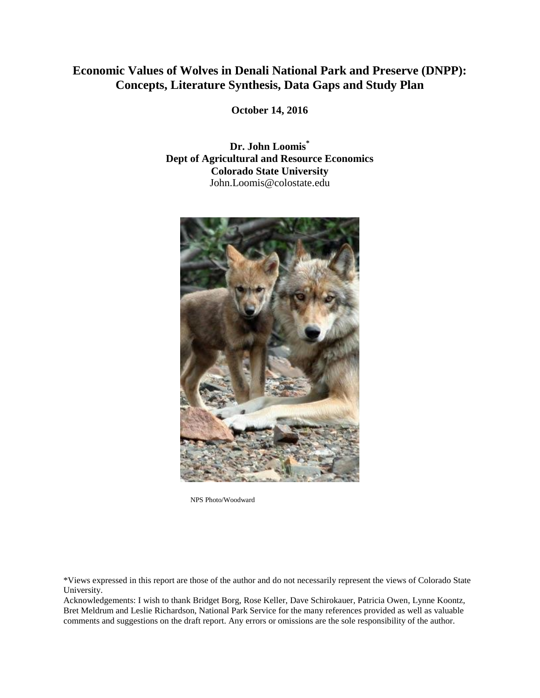# **Economic Values of Wolves in Denali National Park and Preserve (DNPP): Concepts, Literature Synthesis, Data Gaps and Study Plan**

**October 14, 2016**

**Dr. John Loomis\* Dept of Agricultural and Resource Economics Colorado State University** John.Loomis@colostate.edu



NPS Photo/Woodward

\*Views expressed in this report are those of the author and do not necessarily represent the views of Colorado State University.

Acknowledgements: I wish to thank Bridget Borg, Rose Keller, Dave Schirokauer, Patricia Owen, Lynne Koontz, Bret Meldrum and Leslie Richardson, National Park Service for the many references provided as well as valuable comments and suggestions on the draft report. Any errors or omissions are the sole responsibility of the author.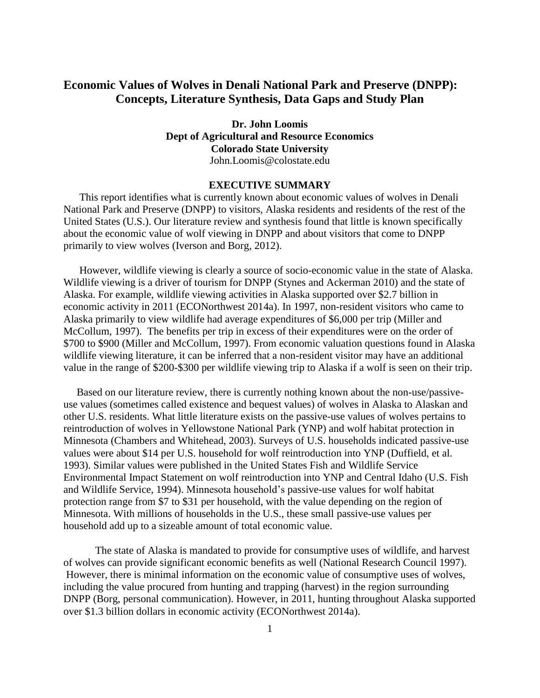# **Economic Values of Wolves in Denali National Park and Preserve (DNPP): Concepts, Literature Synthesis, Data Gaps and Study Plan**

**Dr. John Loomis Dept of Agricultural and Resource Economics Colorado State University** John.Loomis@colostate.edu

# **EXECUTIVE SUMMARY**

This report identifies what is currently known about economic values of wolves in Denali National Park and Preserve (DNPP) to visitors, Alaska residents and residents of the rest of the United States (U.S.). Our literature review and synthesis found that little is known specifically about the economic value of wolf viewing in DNPP and about visitors that come to DNPP primarily to view wolves (Iverson and Borg, 2012).

However, wildlife viewing is clearly a source of socio-economic value in the state of Alaska. Wildlife viewing is a driver of tourism for DNPP (Stynes and Ackerman 2010) and the state of Alaska. For example, wildlife viewing activities in Alaska supported over \$2.7 billion in economic activity in 2011 (ECONorthwest 2014a). In 1997, non-resident visitors who came to Alaska primarily to view wildlife had average expenditures of \$6,000 per trip (Miller and McCollum, 1997). The benefits per trip in excess of their expenditures were on the order of \$700 to \$900 (Miller and McCollum, 1997). From economic valuation questions found in Alaska wildlife viewing literature, it can be inferred that a non-resident visitor may have an additional value in the range of \$200-\$300 per wildlife viewing trip to Alaska if a wolf is seen on their trip.

 Based on our literature review, there is currently nothing known about the non-use/passiveuse values (sometimes called existence and bequest values) of wolves in Alaska to Alaskan and other U.S. residents. What little literature exists on the passive-use values of wolves pertains to reintroduction of wolves in Yellowstone National Park (YNP) and wolf habitat protection in Minnesota (Chambers and Whitehead, 2003). Surveys of U.S. households indicated passive-use values were about \$14 per U.S. household for wolf reintroduction into YNP (Duffield, et al. 1993). Similar values were published in the United States Fish and Wildlife Service Environmental Impact Statement on wolf reintroduction into YNP and Central Idaho (U.S. Fish and Wildlife Service, 1994). Minnesota household's passive-use values for wolf habitat protection range from \$7 to \$31 per household, with the value depending on the region of Minnesota. With millions of households in the U.S., these small passive-use values per household add up to a sizeable amount of total economic value.

The state of Alaska is mandated to provide for consumptive uses of wildlife, and harvest of wolves can provide significant economic benefits as well (National Research Council 1997). However, there is minimal information on the economic value of consumptive uses of wolves, including the value procured from hunting and trapping (harvest) in the region surrounding DNPP (Borg, personal communication). However, in 2011, hunting throughout Alaska supported over \$1.3 billion dollars in economic activity (ECONorthwest 2014a).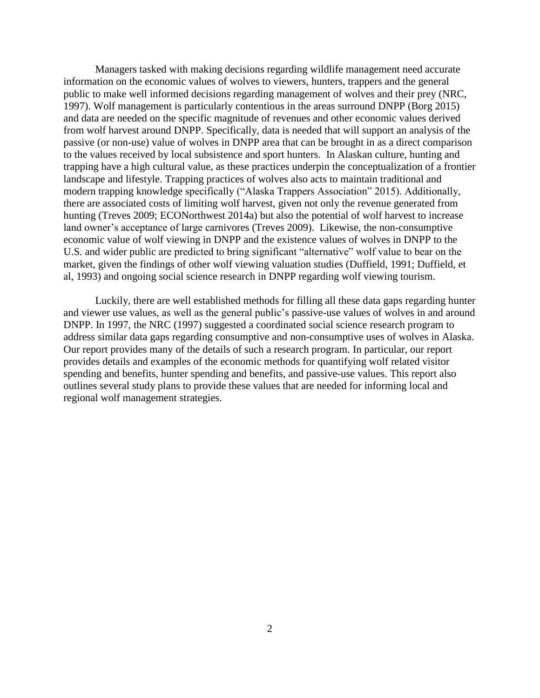Managers tasked with making decisions regarding wildlife management need accurate information on the economic values of wolves to viewers, hunters, trappers and the general public to make well informed decisions regarding management of wolves and their prey (NRC, 1997). Wolf management is particularly contentious in the areas surround DNPP (Borg 2015) and data are needed on the specific magnitude of revenues and other economic values derived from wolf harvest around DNPP. Specifically, data is needed that will support an analysis of the passive (or non-use) value of wolves in DNPP area that can be brought in as a direct comparison to the values received by local subsistence and sport hunters. In Alaskan culture, hunting and trapping have a high cultural value, as these practices underpin the conceptualization of a frontier landscape and lifestyle. Trapping practices of wolves also acts to maintain traditional and modern trapping knowledge specifically ("Alaska Trappers Association" 2015). Additionally, there are associated costs of limiting wolf harvest, given not only the revenue generated from hunting (Treves 2009; ECONorthwest 2014a) but also the potential of wolf harvest to increase land owner's acceptance of large carnivores (Treves 2009). Likewise, the non-consumptive economic value of wolf viewing in DNPP and the existence values of wolves in DNPP to the U.S. and wider public are predicted to bring significant "alternative" wolf value to bear on the market, given the findings of other wolf viewing valuation studies (Duffield, 1991; Duffield, et al, 1993) and ongoing social science research in DNPP regarding wolf viewing tourism.

Luckily, there are well established methods for filling all these data gaps regarding hunter and viewer use values, as well as the general public's passive-use values of wolves in and around DNPP. In 1997, the NRC (1997) suggested a coordinated social science research program to address similar data gaps regarding consumptive and non-consumptive uses of wolves in Alaska. Our report provides many of the details of such a research program. In particular, our report provides details and examples of the economic methods for quantifying wolf related visitor spending and benefits, hunter spending and benefits, and passive-use values. This report also outlines several study plans to provide these values that are needed for informing local and regional wolf management strategies.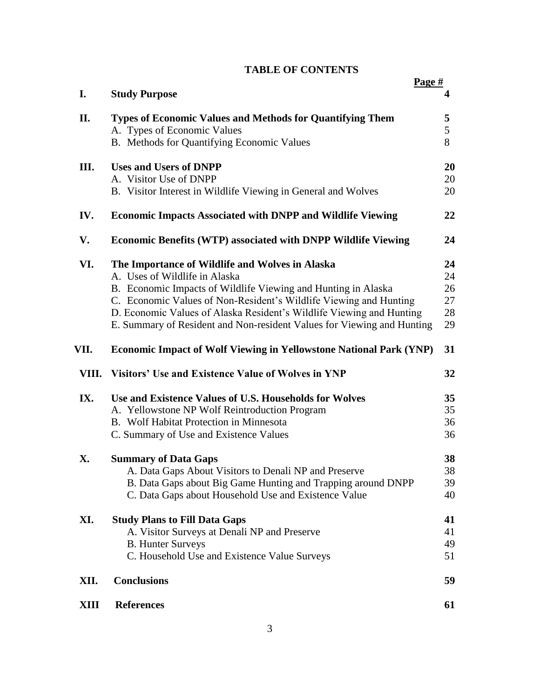# **TABLE OF CONTENTS**

|       | Page #                                                                    |    |
|-------|---------------------------------------------------------------------------|----|
| I.    | <b>Study Purpose</b>                                                      | 4  |
| II.   | Types of Economic Values and Methods for Quantifying Them                 | 5  |
|       | A. Types of Economic Values                                               | 5  |
|       | B. Methods for Quantifying Economic Values                                | 8  |
| Ш.    | <b>Uses and Users of DNPP</b>                                             | 20 |
|       | A. Visitor Use of DNPP                                                    | 20 |
|       | B. Visitor Interest in Wildlife Viewing in General and Wolves             | 20 |
|       |                                                                           |    |
| IV.   | <b>Economic Impacts Associated with DNPP and Wildlife Viewing</b>         | 22 |
| V.    | <b>Economic Benefits (WTP) associated with DNPP Wildlife Viewing</b>      | 24 |
| VI.   | The Importance of Wildlife and Wolves in Alaska                           | 24 |
|       | A. Uses of Wildlife in Alaska                                             | 24 |
|       | B. Economic Impacts of Wildlife Viewing and Hunting in Alaska             | 26 |
|       | C. Economic Values of Non-Resident's Wildlife Viewing and Hunting         | 27 |
|       | D. Economic Values of Alaska Resident's Wildlife Viewing and Hunting      | 28 |
|       | E. Summary of Resident and Non-resident Values for Viewing and Hunting    | 29 |
| VII.  | <b>Economic Impact of Wolf Viewing in Yellowstone National Park (YNP)</b> | 31 |
| VIII. | Visitors' Use and Existence Value of Wolves in YNP                        | 32 |
| IX.   | Use and Existence Values of U.S. Households for Wolves                    | 35 |
|       | A. Yellowstone NP Wolf Reintroduction Program                             | 35 |
|       | B. Wolf Habitat Protection in Minnesota                                   | 36 |
|       | C. Summary of Use and Existence Values                                    | 36 |
| X.    | <b>Summary of Data Gaps</b>                                               | 38 |
|       | A. Data Gaps About Visitors to Denali NP and Preserve                     | 38 |
|       | B. Data Gaps about Big Game Hunting and Trapping around DNPP              | 39 |
|       | C. Data Gaps about Household Use and Existence Value                      | 40 |
| XI.   | <b>Study Plans to Fill Data Gaps</b>                                      | 41 |
|       | A. Visitor Surveys at Denali NP and Preserve                              | 41 |
|       | <b>B.</b> Hunter Surveys                                                  | 49 |
|       | C. Household Use and Existence Value Surveys                              | 51 |
| XII.  | <b>Conclusions</b>                                                        | 59 |
| XIII  | <b>References</b>                                                         | 61 |
|       |                                                                           |    |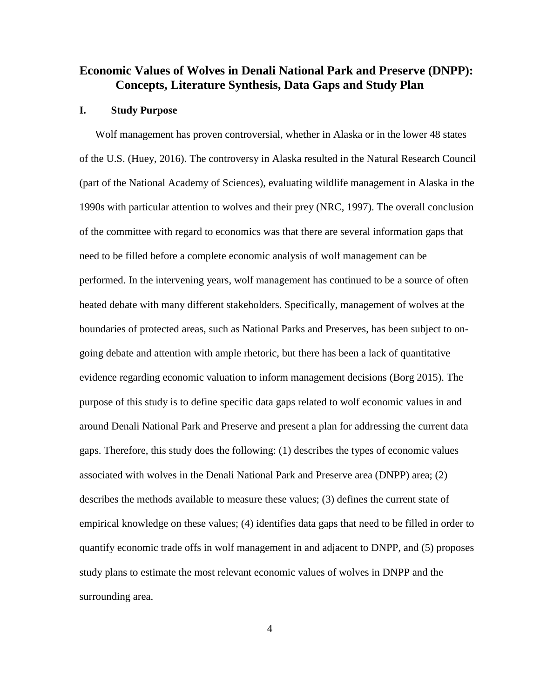# **Economic Values of Wolves in Denali National Park and Preserve (DNPP): Concepts, Literature Synthesis, Data Gaps and Study Plan**

#### **I. Study Purpose**

Wolf management has proven controversial, whether in Alaska or in the lower 48 states of the U.S. (Huey, 2016). The controversy in Alaska resulted in the Natural Research Council (part of the National Academy of Sciences), evaluating wildlife management in Alaska in the 1990s with particular attention to wolves and their prey (NRC, 1997). The overall conclusion of the committee with regard to economics was that there are several information gaps that need to be filled before a complete economic analysis of wolf management can be performed. In the intervening years, wolf management has continued to be a source of often heated debate with many different stakeholders. Specifically, management of wolves at the boundaries of protected areas, such as National Parks and Preserves, has been subject to ongoing debate and attention with ample rhetoric, but there has been a lack of quantitative evidence regarding economic valuation to inform management decisions (Borg 2015). The purpose of this study is to define specific data gaps related to wolf economic values in and around Denali National Park and Preserve and present a plan for addressing the current data gaps. Therefore, this study does the following: (1) describes the types of economic values associated with wolves in the Denali National Park and Preserve area (DNPP) area; (2) describes the methods available to measure these values; (3) defines the current state of empirical knowledge on these values; (4) identifies data gaps that need to be filled in order to quantify economic trade offs in wolf management in and adjacent to DNPP, and (5) proposes study plans to estimate the most relevant economic values of wolves in DNPP and the surrounding area.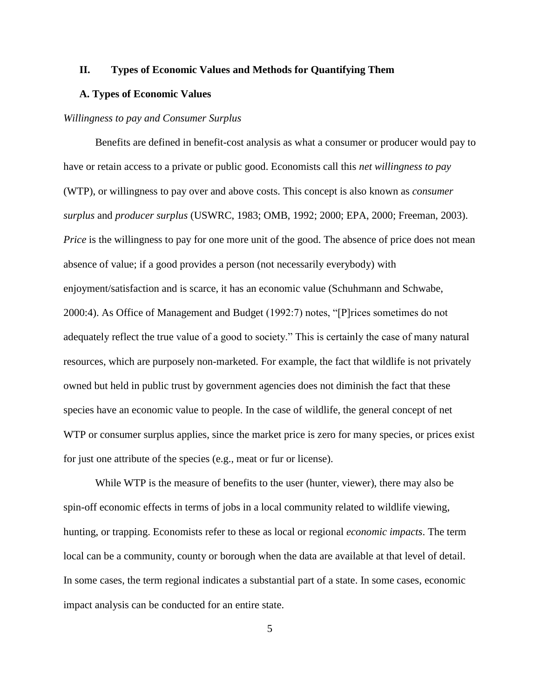# **II. Types of Economic Values and Methods for Quantifying Them**

### **A. Types of Economic Values**

# *Willingness to pay and Consumer Surplus*

Benefits are defined in benefit-cost analysis as what a consumer or producer would pay to have or retain access to a private or public good. Economists call this *net willingness to pay* (WTP), or willingness to pay over and above costs. This concept is also known as *consumer surplus* and *producer surplus* (USWRC, 1983; OMB, 1992; 2000; EPA, 2000; Freeman, 2003). *Price* is the willingness to pay for one more unit of the good. The absence of price does not mean absence of value; if a good provides a person (not necessarily everybody) with enjoyment/satisfaction and is scarce, it has an economic value (Schuhmann and Schwabe, 2000:4). As Office of Management and Budget (1992:7) notes, "[P]rices sometimes do not adequately reflect the true value of a good to society." This is certainly the case of many natural resources, which are purposely non-marketed. For example, the fact that wildlife is not privately owned but held in public trust by government agencies does not diminish the fact that these species have an economic value to people. In the case of wildlife, the general concept of net WTP or consumer surplus applies, since the market price is zero for many species, or prices exist for just one attribute of the species (e.g., meat or fur or license).

While WTP is the measure of benefits to the user (hunter, viewer), there may also be spin-off economic effects in terms of jobs in a local community related to wildlife viewing, hunting, or trapping. Economists refer to these as local or regional *economic impacts*. The term local can be a community, county or borough when the data are available at that level of detail. In some cases, the term regional indicates a substantial part of a state. In some cases, economic impact analysis can be conducted for an entire state.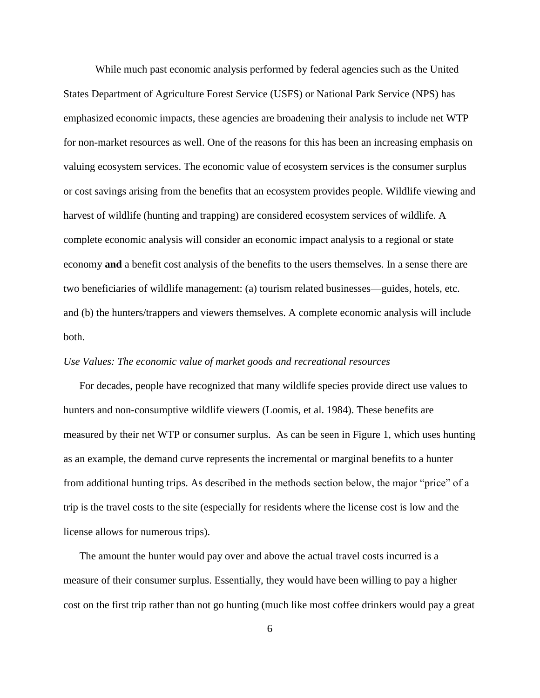While much past economic analysis performed by federal agencies such as the United States Department of Agriculture Forest Service (USFS) or National Park Service (NPS) has emphasized economic impacts, these agencies are broadening their analysis to include net WTP for non-market resources as well. One of the reasons for this has been an increasing emphasis on valuing ecosystem services. The economic value of ecosystem services is the consumer surplus or cost savings arising from the benefits that an ecosystem provides people. Wildlife viewing and harvest of wildlife (hunting and trapping) are considered ecosystem services of wildlife. A complete economic analysis will consider an economic impact analysis to a regional or state economy **and** a benefit cost analysis of the benefits to the users themselves. In a sense there are two beneficiaries of wildlife management: (a) tourism related businesses—guides, hotels, etc. and (b) the hunters/trappers and viewers themselves. A complete economic analysis will include both.

# *Use Values: The economic value of market goods and recreational resources*

For decades, people have recognized that many wildlife species provide direct use values to hunters and non-consumptive wildlife viewers (Loomis, et al. 1984). These benefits are measured by their net WTP or consumer surplus. As can be seen in Figure 1, which uses hunting as an example, the demand curve represents the incremental or marginal benefits to a hunter from additional hunting trips. As described in the methods section below, the major "price" of a trip is the travel costs to the site (especially for residents where the license cost is low and the license allows for numerous trips).

The amount the hunter would pay over and above the actual travel costs incurred is a measure of their consumer surplus. Essentially, they would have been willing to pay a higher cost on the first trip rather than not go hunting (much like most coffee drinkers would pay a great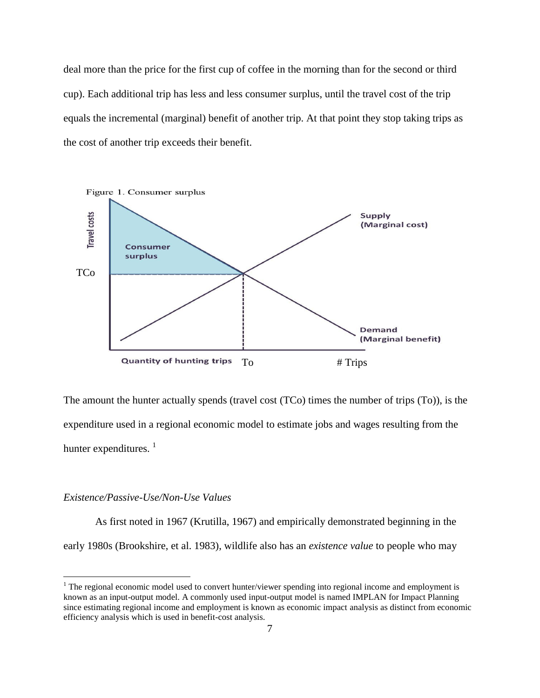deal more than the price for the first cup of coffee in the morning than for the second or third cup). Each additional trip has less and less consumer surplus, until the travel cost of the trip equals the incremental (marginal) benefit of another trip. At that point they stop taking trips as the cost of another trip exceeds their benefit.



The amount the hunter actually spends (travel cost (TCo) times the number of trips (To)), is the expenditure used in a regional economic model to estimate jobs and wages resulting from the hunter expenditures.  $<sup>1</sup>$ </sup>

# *Existence/Passive-Use/Non-Use Values*

 $\overline{a}$ 

As first noted in 1967 (Krutilla, 1967) and empirically demonstrated beginning in the early 1980s (Brookshire, et al. 1983), wildlife also has an *existence value* to people who may

<sup>&</sup>lt;sup>1</sup> The regional economic model used to convert hunter/viewer spending into regional income and employment is known as an input-output model. A commonly used input-output model is named IMPLAN for Impact Planning since estimating regional income and employment is known as economic impact analysis as distinct from economic efficiency analysis which is used in benefit-cost analysis.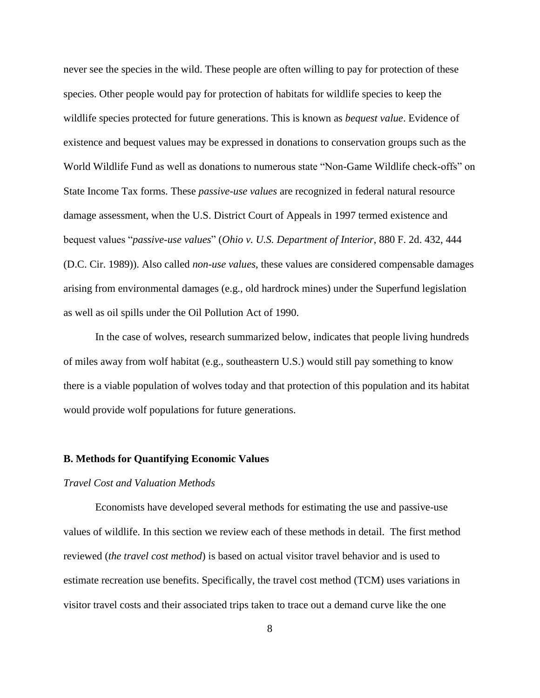never see the species in the wild. These people are often willing to pay for protection of these species. Other people would pay for protection of habitats for wildlife species to keep the wildlife species protected for future generations. This is known as *bequest value*. Evidence of existence and bequest values may be expressed in donations to conservation groups such as the World Wildlife Fund as well as donations to numerous state "Non-Game Wildlife check-offs" on State Income Tax forms. These *passive-use values* are recognized in federal natural resource damage assessment, when the U.S. District Court of Appeals in 1997 termed existence and bequest values "*passive-use values*" (*Ohio v. U.S. Department of Interior*, 880 F. 2d. 432, 444 (D.C. Cir. 1989)). Also called *non-use values*, these values are considered compensable damages arising from environmental damages (e.g., old hardrock mines) under the Superfund legislation as well as oil spills under the Oil Pollution Act of 1990.

In the case of wolves, research summarized below, indicates that people living hundreds of miles away from wolf habitat (e.g., southeastern U.S.) would still pay something to know there is a viable population of wolves today and that protection of this population and its habitat would provide wolf populations for future generations.

# **B. Methods for Quantifying Economic Values**

### *Travel Cost and Valuation Methods*

Economists have developed several methods for estimating the use and passive-use values of wildlife. In this section we review each of these methods in detail. The first method reviewed (*the travel cost method*) is based on actual visitor travel behavior and is used to estimate recreation use benefits. Specifically, the travel cost method (TCM) uses variations in visitor travel costs and their associated trips taken to trace out a demand curve like the one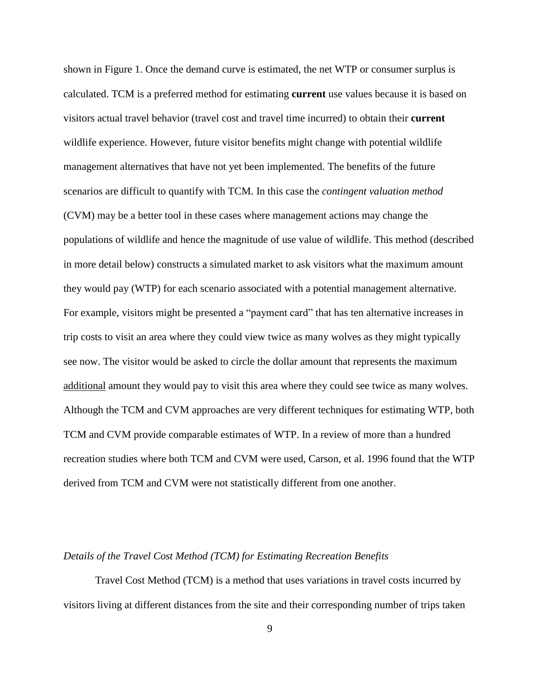shown in Figure 1. Once the demand curve is estimated, the net WTP or consumer surplus is calculated. TCM is a preferred method for estimating **current** use values because it is based on visitors actual travel behavior (travel cost and travel time incurred) to obtain their **current** wildlife experience. However, future visitor benefits might change with potential wildlife management alternatives that have not yet been implemented. The benefits of the future scenarios are difficult to quantify with TCM. In this case the *contingent valuation method* (CVM) may be a better tool in these cases where management actions may change the populations of wildlife and hence the magnitude of use value of wildlife. This method (described in more detail below) constructs a simulated market to ask visitors what the maximum amount they would pay (WTP) for each scenario associated with a potential management alternative. For example, visitors might be presented a "payment card" that has ten alternative increases in trip costs to visit an area where they could view twice as many wolves as they might typically see now. The visitor would be asked to circle the dollar amount that represents the maximum additional amount they would pay to visit this area where they could see twice as many wolves. Although the TCM and CVM approaches are very different techniques for estimating WTP, both TCM and CVM provide comparable estimates of WTP. In a review of more than a hundred recreation studies where both TCM and CVM were used, Carson, et al. 1996 found that the WTP derived from TCM and CVM were not statistically different from one another.

#### *Details of the Travel Cost Method (TCM) for Estimating Recreation Benefits*

Travel Cost Method (TCM) is a method that uses variations in travel costs incurred by visitors living at different distances from the site and their corresponding number of trips taken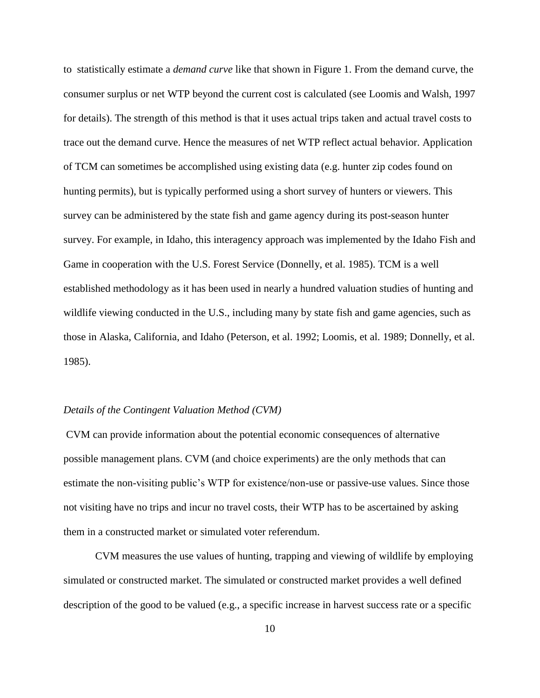to statistically estimate a *demand curve* like that shown in Figure 1. From the demand curve, the consumer surplus or net WTP beyond the current cost is calculated (see Loomis and Walsh, 1997 for details). The strength of this method is that it uses actual trips taken and actual travel costs to trace out the demand curve. Hence the measures of net WTP reflect actual behavior. Application of TCM can sometimes be accomplished using existing data (e.g. hunter zip codes found on hunting permits), but is typically performed using a short survey of hunters or viewers. This survey can be administered by the state fish and game agency during its post-season hunter survey. For example, in Idaho, this interagency approach was implemented by the Idaho Fish and Game in cooperation with the U.S. Forest Service (Donnelly, et al. 1985). TCM is a well established methodology as it has been used in nearly a hundred valuation studies of hunting and wildlife viewing conducted in the U.S., including many by state fish and game agencies, such as those in Alaska, California, and Idaho (Peterson, et al. 1992; Loomis, et al. 1989; Donnelly, et al. 1985).

## *Details of the Contingent Valuation Method (CVM)*

CVM can provide information about the potential economic consequences of alternative possible management plans. CVM (and choice experiments) are the only methods that can estimate the non-visiting public's WTP for existence/non-use or passive-use values. Since those not visiting have no trips and incur no travel costs, their WTP has to be ascertained by asking them in a constructed market or simulated voter referendum.

CVM measures the use values of hunting, trapping and viewing of wildlife by employing simulated or constructed market. The simulated or constructed market provides a well defined description of the good to be valued (e.g., a specific increase in harvest success rate or a specific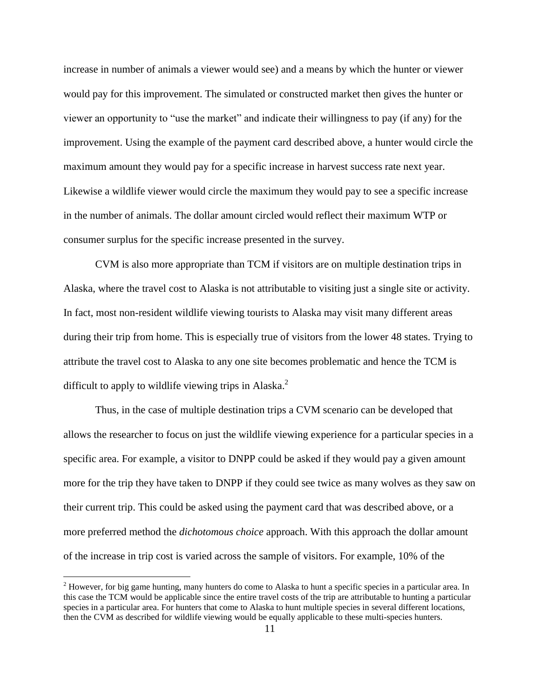increase in number of animals a viewer would see) and a means by which the hunter or viewer would pay for this improvement. The simulated or constructed market then gives the hunter or viewer an opportunity to "use the market" and indicate their willingness to pay (if any) for the improvement. Using the example of the payment card described above, a hunter would circle the maximum amount they would pay for a specific increase in harvest success rate next year. Likewise a wildlife viewer would circle the maximum they would pay to see a specific increase in the number of animals. The dollar amount circled would reflect their maximum WTP or consumer surplus for the specific increase presented in the survey.

CVM is also more appropriate than TCM if visitors are on multiple destination trips in Alaska, where the travel cost to Alaska is not attributable to visiting just a single site or activity. In fact, most non-resident wildlife viewing tourists to Alaska may visit many different areas during their trip from home. This is especially true of visitors from the lower 48 states. Trying to attribute the travel cost to Alaska to any one site becomes problematic and hence the TCM is difficult to apply to wildlife viewing trips in Alaska.<sup>2</sup>

Thus, in the case of multiple destination trips a CVM scenario can be developed that allows the researcher to focus on just the wildlife viewing experience for a particular species in a specific area. For example, a visitor to DNPP could be asked if they would pay a given amount more for the trip they have taken to DNPP if they could see twice as many wolves as they saw on their current trip. This could be asked using the payment card that was described above, or a more preferred method the *dichotomous choice* approach. With this approach the dollar amount of the increase in trip cost is varied across the sample of visitors. For example, 10% of the

 $\overline{a}$ 

<sup>&</sup>lt;sup>2</sup> However, for big game hunting, many hunters do come to Alaska to hunt a specific species in a particular area. In this case the TCM would be applicable since the entire travel costs of the trip are attributable to hunting a particular species in a particular area. For hunters that come to Alaska to hunt multiple species in several different locations, then the CVM as described for wildlife viewing would be equally applicable to these multi-species hunters.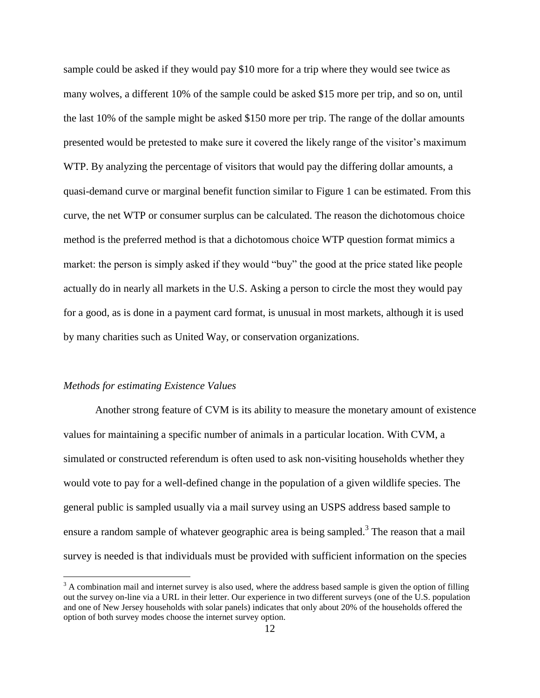sample could be asked if they would pay \$10 more for a trip where they would see twice as many wolves, a different 10% of the sample could be asked \$15 more per trip, and so on, until the last 10% of the sample might be asked \$150 more per trip. The range of the dollar amounts presented would be pretested to make sure it covered the likely range of the visitor's maximum WTP. By analyzing the percentage of visitors that would pay the differing dollar amounts, a quasi-demand curve or marginal benefit function similar to Figure 1 can be estimated. From this curve, the net WTP or consumer surplus can be calculated. The reason the dichotomous choice method is the preferred method is that a dichotomous choice WTP question format mimics a market: the person is simply asked if they would "buy" the good at the price stated like people actually do in nearly all markets in the U.S. Asking a person to circle the most they would pay for a good, as is done in a payment card format, is unusual in most markets, although it is used by many charities such as United Way, or conservation organizations.

#### *Methods for estimating Existence Values*

 $\overline{a}$ 

Another strong feature of CVM is its ability to measure the monetary amount of existence values for maintaining a specific number of animals in a particular location. With CVM, a simulated or constructed referendum is often used to ask non-visiting households whether they would vote to pay for a well-defined change in the population of a given wildlife species. The general public is sampled usually via a mail survey using an USPS address based sample to ensure a random sample of whatever geographic area is being sampled.<sup>3</sup> The reason that a mail survey is needed is that individuals must be provided with sufficient information on the species

 $3$  A combination mail and internet survey is also used, where the address based sample is given the option of filling out the survey on-line via a URL in their letter. Our experience in two different surveys (one of the U.S. population and one of New Jersey households with solar panels) indicates that only about 20% of the households offered the option of both survey modes choose the internet survey option.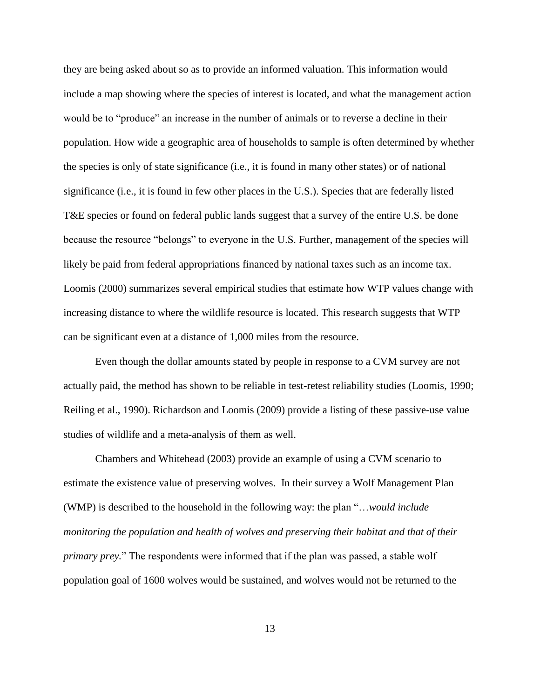they are being asked about so as to provide an informed valuation. This information would include a map showing where the species of interest is located, and what the management action would be to "produce" an increase in the number of animals or to reverse a decline in their population. How wide a geographic area of households to sample is often determined by whether the species is only of state significance (i.e., it is found in many other states) or of national significance (i.e., it is found in few other places in the U.S.). Species that are federally listed T&E species or found on federal public lands suggest that a survey of the entire U.S. be done because the resource "belongs" to everyone in the U.S. Further, management of the species will likely be paid from federal appropriations financed by national taxes such as an income tax. Loomis (2000) summarizes several empirical studies that estimate how WTP values change with increasing distance to where the wildlife resource is located. This research suggests that WTP can be significant even at a distance of 1,000 miles from the resource.

Even though the dollar amounts stated by people in response to a CVM survey are not actually paid, the method has shown to be reliable in test-retest reliability studies (Loomis, 1990; Reiling et al., 1990). Richardson and Loomis (2009) provide a listing of these passive-use value studies of wildlife and a meta-analysis of them as well.

Chambers and Whitehead (2003) provide an example of using a CVM scenario to estimate the existence value of preserving wolves. In their survey a Wolf Management Plan (WMP) is described to the household in the following way: the plan "…*would include monitoring the population and health of wolves and preserving their habitat and that of their primary prey.*" The respondents were informed that if the plan was passed, a stable wolf population goal of 1600 wolves would be sustained, and wolves would not be returned to the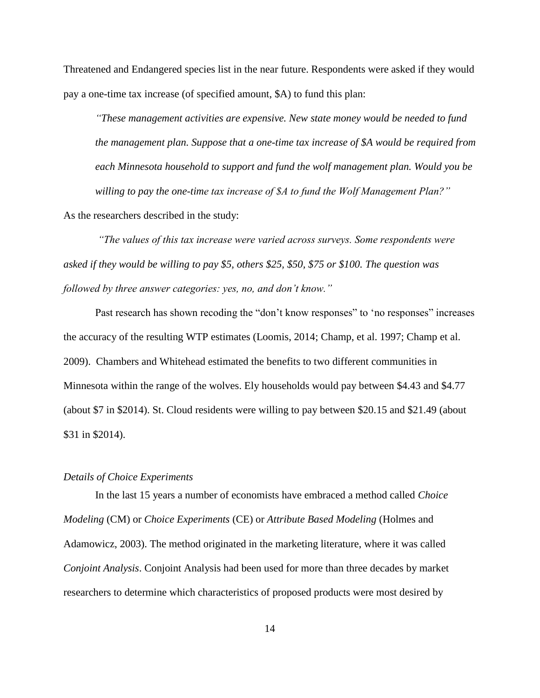Threatened and Endangered species list in the near future. Respondents were asked if they would pay a one-time tax increase (of specified amount, \$A) to fund this plan:

*"These management activities are expensive. New state money would be needed to fund the management plan. Suppose that a one-time tax increase of \$A would be required from each Minnesota household to support and fund the wolf management plan. Would you be willing to pay the one-time tax increase of \$A to fund the Wolf Management Plan?"*

As the researchers described in the study:

*"The values of this tax increase were varied across surveys. Some respondents were asked if they would be willing to pay \$5, others \$25, \$50, \$75 or \$100. The question was followed by three answer categories: yes, no, and don't know."* 

Past research has shown recoding the "don't know responses" to 'no responses" increases the accuracy of the resulting WTP estimates (Loomis, 2014; Champ, et al. 1997; Champ et al. 2009). Chambers and Whitehead estimated the benefits to two different communities in Minnesota within the range of the wolves. Ely households would pay between \$4.43 and \$4.77 (about \$7 in \$2014). St. Cloud residents were willing to pay between \$20.15 and \$21.49 (about \$31 in \$2014).

## *Details of Choice Experiments*

In the last 15 years a number of economists have embraced a method called *Choice Modeling* (CM) or *Choice Experiments* (CE) or *Attribute Based Modeling* (Holmes and Adamowicz, 2003). The method originated in the marketing literature, where it was called *Conjoint Analysis*. Conjoint Analysis had been used for more than three decades by market researchers to determine which characteristics of proposed products were most desired by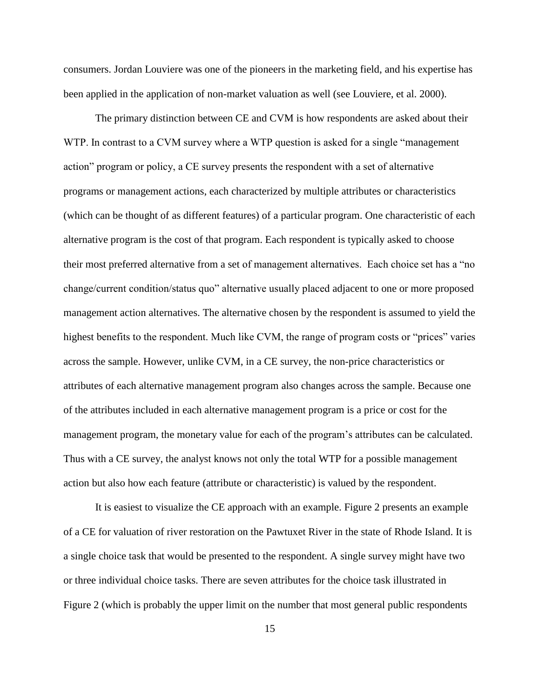consumers. Jordan Louviere was one of the pioneers in the marketing field, and his expertise has been applied in the application of non-market valuation as well (see Louviere, et al. 2000).

The primary distinction between CE and CVM is how respondents are asked about their WTP. In contrast to a CVM survey where a WTP question is asked for a single "management" action" program or policy, a CE survey presents the respondent with a set of alternative programs or management actions, each characterized by multiple attributes or characteristics (which can be thought of as different features) of a particular program. One characteristic of each alternative program is the cost of that program. Each respondent is typically asked to choose their most preferred alternative from a set of management alternatives. Each choice set has a "no change/current condition/status quo" alternative usually placed adjacent to one or more proposed management action alternatives. The alternative chosen by the respondent is assumed to yield the highest benefits to the respondent. Much like CVM, the range of program costs or "prices" varies across the sample. However, unlike CVM, in a CE survey, the non-price characteristics or attributes of each alternative management program also changes across the sample. Because one of the attributes included in each alternative management program is a price or cost for the management program, the monetary value for each of the program's attributes can be calculated. Thus with a CE survey, the analyst knows not only the total WTP for a possible management action but also how each feature (attribute or characteristic) is valued by the respondent.

It is easiest to visualize the CE approach with an example. Figure 2 presents an example of a CE for valuation of river restoration on the Pawtuxet River in the state of Rhode Island. It is a single choice task that would be presented to the respondent. A single survey might have two or three individual choice tasks. There are seven attributes for the choice task illustrated in Figure 2 (which is probably the upper limit on the number that most general public respondents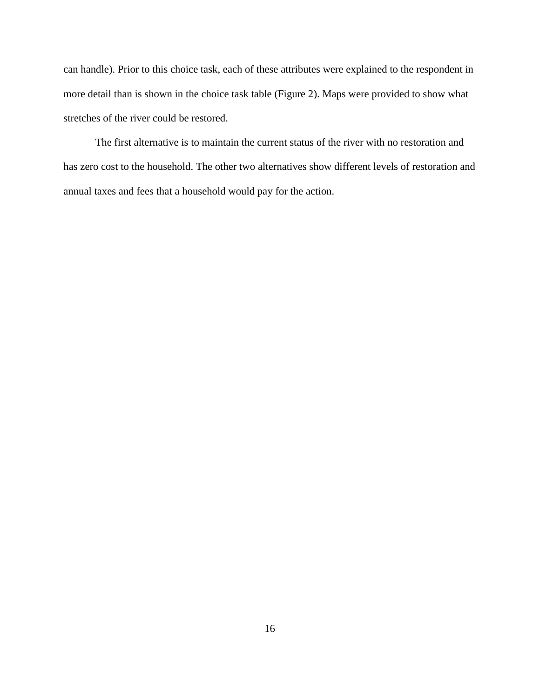can handle). Prior to this choice task, each of these attributes were explained to the respondent in more detail than is shown in the choice task table (Figure 2). Maps were provided to show what stretches of the river could be restored.

The first alternative is to maintain the current status of the river with no restoration and has zero cost to the household. The other two alternatives show different levels of restoration and annual taxes and fees that a household would pay for the action.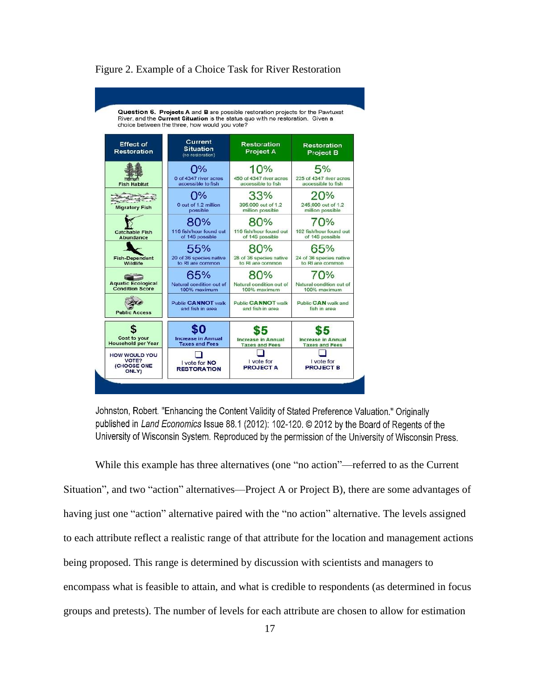

#### Figure 2. Example of a Choice Task for River Restoration

Johnston, Robert. "Enhancing the Content Validity of Stated Preference Valuation." Originally published in Land Economics Issue 88.1 (2012): 102-120. © 2012 by the Board of Regents of the University of Wisconsin System. Reproduced by the permission of the University of Wisconsin Press.

While this example has three alternatives (one "no action"—referred to as the Current Situation", and two "action" alternatives—Project A or Project B), there are some advantages of having just one "action" alternative paired with the "no action" alternative. The levels assigned to each attribute reflect a realistic range of that attribute for the location and management actions being proposed. This range is determined by discussion with scientists and managers to encompass what is feasible to attain, and what is credible to respondents (as determined in focus groups and pretests). The number of levels for each attribute are chosen to allow for estimation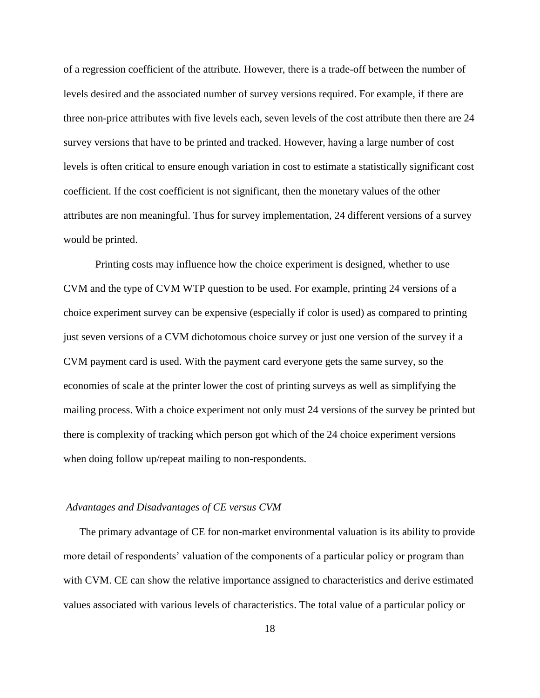of a regression coefficient of the attribute. However, there is a trade-off between the number of levels desired and the associated number of survey versions required. For example, if there are three non-price attributes with five levels each, seven levels of the cost attribute then there are 24 survey versions that have to be printed and tracked. However, having a large number of cost levels is often critical to ensure enough variation in cost to estimate a statistically significant cost coefficient. If the cost coefficient is not significant, then the monetary values of the other attributes are non meaningful. Thus for survey implementation, 24 different versions of a survey would be printed.

Printing costs may influence how the choice experiment is designed, whether to use CVM and the type of CVM WTP question to be used. For example, printing 24 versions of a choice experiment survey can be expensive (especially if color is used) as compared to printing just seven versions of a CVM dichotomous choice survey or just one version of the survey if a CVM payment card is used. With the payment card everyone gets the same survey, so the economies of scale at the printer lower the cost of printing surveys as well as simplifying the mailing process. With a choice experiment not only must 24 versions of the survey be printed but there is complexity of tracking which person got which of the 24 choice experiment versions when doing follow up/repeat mailing to non-respondents.

#### *Advantages and Disadvantages of CE versus CVM*

The primary advantage of CE for non-market environmental valuation is its ability to provide more detail of respondents' valuation of the components of a particular policy or program than with CVM. CE can show the relative importance assigned to characteristics and derive estimated values associated with various levels of characteristics. The total value of a particular policy or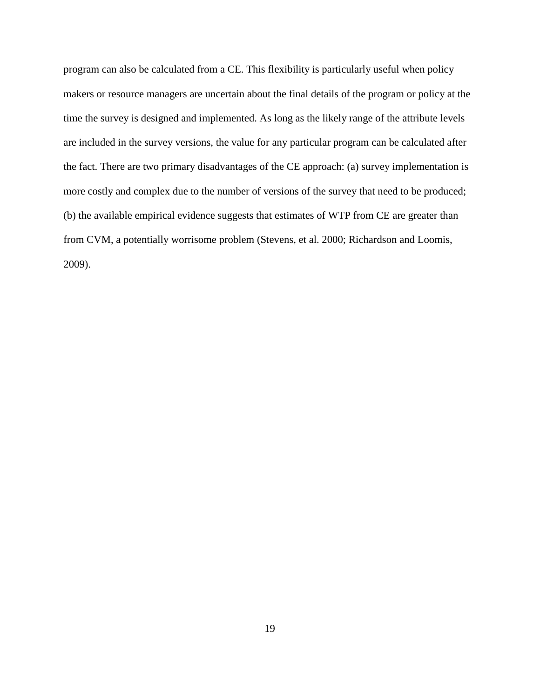program can also be calculated from a CE. This flexibility is particularly useful when policy makers or resource managers are uncertain about the final details of the program or policy at the time the survey is designed and implemented. As long as the likely range of the attribute levels are included in the survey versions, the value for any particular program can be calculated after the fact. There are two primary disadvantages of the CE approach: (a) survey implementation is more costly and complex due to the number of versions of the survey that need to be produced; (b) the available empirical evidence suggests that estimates of WTP from CE are greater than from CVM, a potentially worrisome problem (Stevens, et al. 2000; Richardson and Loomis, 2009).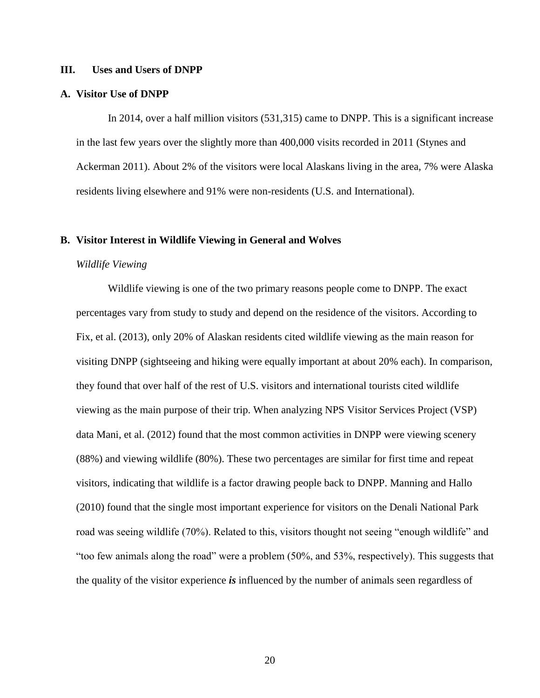#### **III. Uses and Users of DNPP**

# **A. Visitor Use of DNPP**

In 2014, over a half million visitors (531,315) came to DNPP. This is a significant increase in the last few years over the slightly more than 400,000 visits recorded in 2011 (Stynes and Ackerman 2011). About 2% of the visitors were local Alaskans living in the area, 7% were Alaska residents living elsewhere and 91% were non-residents (U.S. and International).

#### **B. Visitor Interest in Wildlife Viewing in General and Wolves**

#### *Wildlife Viewing*

Wildlife viewing is one of the two primary reasons people come to DNPP. The exact percentages vary from study to study and depend on the residence of the visitors. According to Fix, et al. (2013), only 20% of Alaskan residents cited wildlife viewing as the main reason for visiting DNPP (sightseeing and hiking were equally important at about 20% each). In comparison, they found that over half of the rest of U.S. visitors and international tourists cited wildlife viewing as the main purpose of their trip. When analyzing NPS Visitor Services Project (VSP) data Mani, et al. (2012) found that the most common activities in DNPP were viewing scenery (88%) and viewing wildlife (80%). These two percentages are similar for first time and repeat visitors, indicating that wildlife is a factor drawing people back to DNPP. Manning and Hallo (2010) found that the single most important experience for visitors on the Denali National Park road was seeing wildlife (70%). Related to this, visitors thought not seeing "enough wildlife" and "too few animals along the road" were a problem (50%, and 53%, respectively). This suggests that the quality of the visitor experience *is* influenced by the number of animals seen regardless of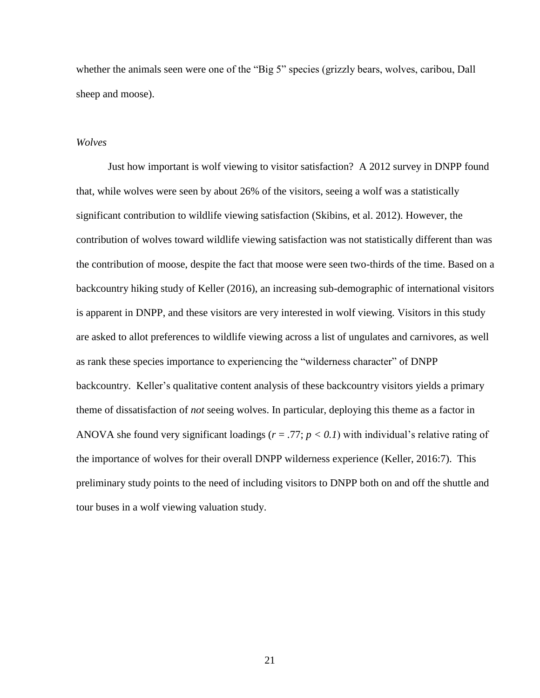whether the animals seen were one of the "Big 5" species (grizzly bears, wolves, caribou, Dall sheep and moose).

#### *Wolves*

Just how important is wolf viewing to visitor satisfaction? A 2012 survey in DNPP found that, while wolves were seen by about 26% of the visitors, seeing a wolf was a statistically significant contribution to wildlife viewing satisfaction (Skibins, et al. 2012). However, the contribution of wolves toward wildlife viewing satisfaction was not statistically different than was the contribution of moose, despite the fact that moose were seen two-thirds of the time. Based on a backcountry hiking study of Keller (2016), an increasing sub-demographic of international visitors is apparent in DNPP, and these visitors are very interested in wolf viewing. Visitors in this study are asked to allot preferences to wildlife viewing across a list of ungulates and carnivores, as well as rank these species importance to experiencing the "wilderness character" of DNPP backcountry. Keller's qualitative content analysis of these backcountry visitors yields a primary theme of dissatisfaction of *not* seeing wolves. In particular, deploying this theme as a factor in ANOVA she found very significant loadings (*r* = .77; *p < 0.1*) with individual's relative rating of the importance of wolves for their overall DNPP wilderness experience (Keller, 2016:7). This preliminary study points to the need of including visitors to DNPP both on and off the shuttle and tour buses in a wolf viewing valuation study.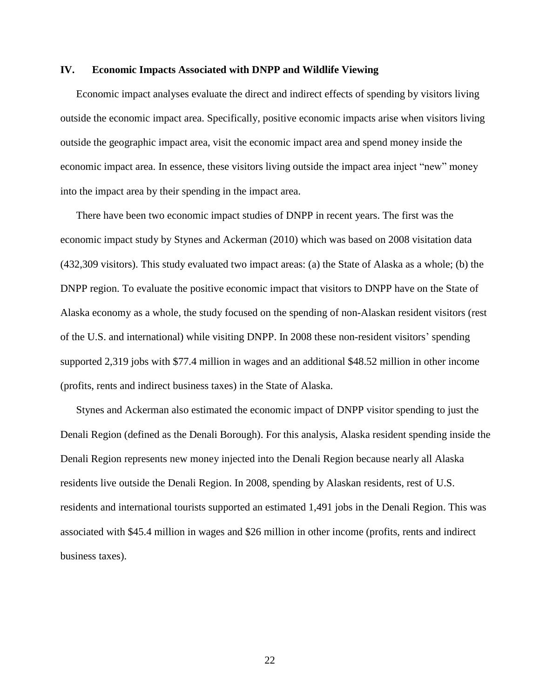# **IV. Economic Impacts Associated with DNPP and Wildlife Viewing**

Economic impact analyses evaluate the direct and indirect effects of spending by visitors living outside the economic impact area. Specifically, positive economic impacts arise when visitors living outside the geographic impact area, visit the economic impact area and spend money inside the economic impact area. In essence, these visitors living outside the impact area inject "new" money into the impact area by their spending in the impact area.

There have been two economic impact studies of DNPP in recent years. The first was the economic impact study by Stynes and Ackerman (2010) which was based on 2008 visitation data (432,309 visitors). This study evaluated two impact areas: (a) the State of Alaska as a whole; (b) the DNPP region. To evaluate the positive economic impact that visitors to DNPP have on the State of Alaska economy as a whole, the study focused on the spending of non-Alaskan resident visitors (rest of the U.S. and international) while visiting DNPP. In 2008 these non-resident visitors' spending supported 2,319 jobs with \$77.4 million in wages and an additional \$48.52 million in other income (profits, rents and indirect business taxes) in the State of Alaska.

Stynes and Ackerman also estimated the economic impact of DNPP visitor spending to just the Denali Region (defined as the Denali Borough). For this analysis, Alaska resident spending inside the Denali Region represents new money injected into the Denali Region because nearly all Alaska residents live outside the Denali Region. In 2008, spending by Alaskan residents, rest of U.S. residents and international tourists supported an estimated 1,491 jobs in the Denali Region. This was associated with \$45.4 million in wages and \$26 million in other income (profits, rents and indirect business taxes).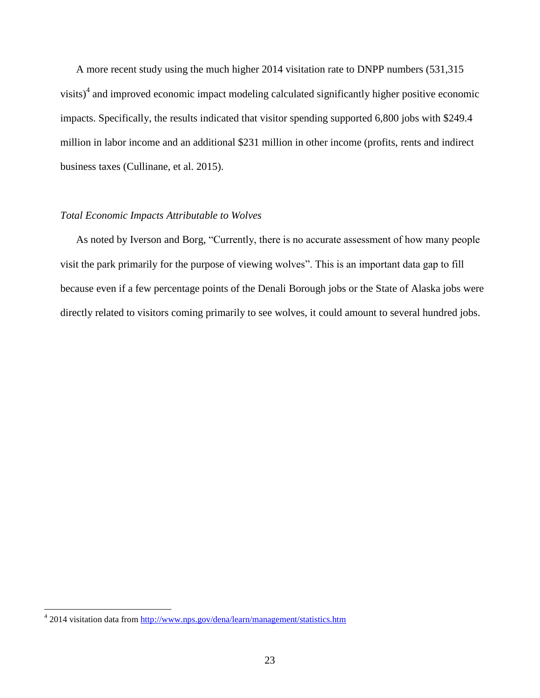A more recent study using the much higher 2014 visitation rate to DNPP numbers (531,315 visits) $4$  and improved economic impact modeling calculated significantly higher positive economic impacts. Specifically, the results indicated that visitor spending supported 6,800 jobs with \$249.4 million in labor income and an additional \$231 million in other income (profits, rents and indirect business taxes (Cullinane, et al. 2015).

# *Total Economic Impacts Attributable to Wolves*

As noted by Iverson and Borg, "Currently, there is no accurate assessment of how many people visit the park primarily for the purpose of viewing wolves". This is an important data gap to fill because even if a few percentage points of the Denali Borough jobs or the State of Alaska jobs were directly related to visitors coming primarily to see wolves, it could amount to several hundred jobs.

 4 2014 visitation data from<http://www.nps.gov/dena/learn/management/statistics.htm>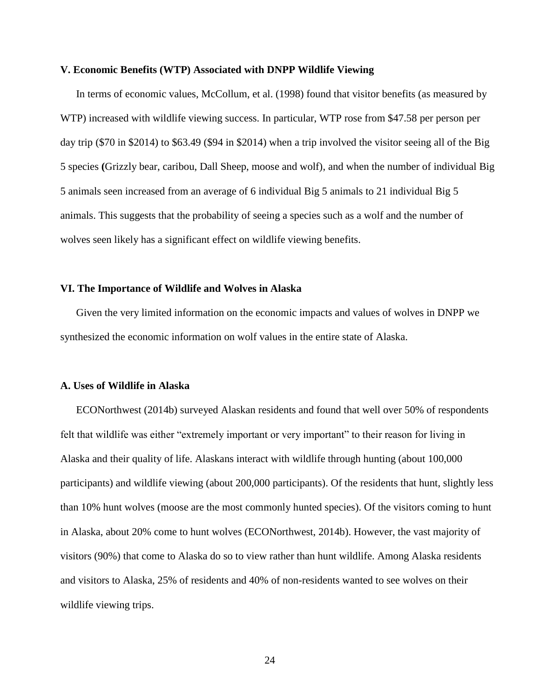#### **V. Economic Benefits (WTP) Associated with DNPP Wildlife Viewing**

In terms of economic values, McCollum, et al. (1998) found that visitor benefits (as measured by WTP) increased with wildlife viewing success. In particular, WTP rose from \$47.58 per person per day trip (\$70 in \$2014) to \$63.49 (\$94 in \$2014) when a trip involved the visitor seeing all of the Big 5 species **(**Grizzly bear, caribou, Dall Sheep, moose and wolf), and when the number of individual Big 5 animals seen increased from an average of 6 individual Big 5 animals to 21 individual Big 5 animals. This suggests that the probability of seeing a species such as a wolf and the number of wolves seen likely has a significant effect on wildlife viewing benefits.

# **VI. The Importance of Wildlife and Wolves in Alaska**

Given the very limited information on the economic impacts and values of wolves in DNPP we synthesized the economic information on wolf values in the entire state of Alaska.

# **A. Uses of Wildlife in Alaska**

ECONorthwest (2014b) surveyed Alaskan residents and found that well over 50% of respondents felt that wildlife was either "extremely important or very important" to their reason for living in Alaska and their quality of life. Alaskans interact with wildlife through hunting (about 100,000 participants) and wildlife viewing (about 200,000 participants). Of the residents that hunt, slightly less than 10% hunt wolves (moose are the most commonly hunted species). Of the visitors coming to hunt in Alaska, about 20% come to hunt wolves (ECONorthwest, 2014b). However, the vast majority of visitors (90%) that come to Alaska do so to view rather than hunt wildlife. Among Alaska residents and visitors to Alaska, 25% of residents and 40% of non-residents wanted to see wolves on their wildlife viewing trips.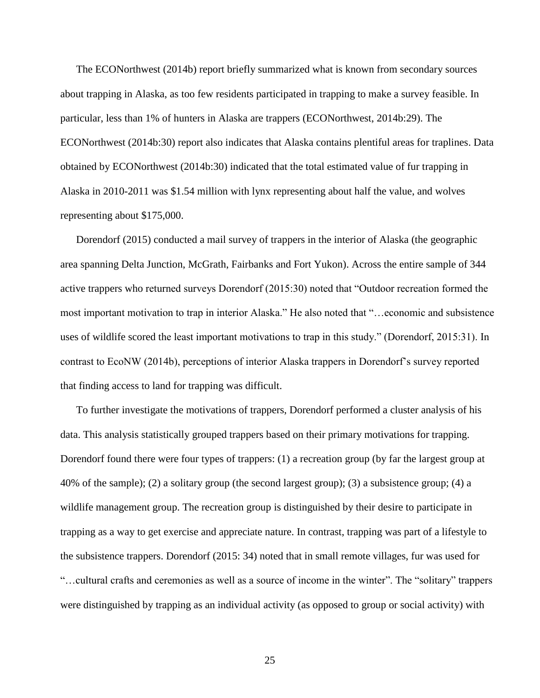The ECONorthwest (2014b) report briefly summarized what is known from secondary sources about trapping in Alaska, as too few residents participated in trapping to make a survey feasible. In particular, less than 1% of hunters in Alaska are trappers (ECONorthwest, 2014b:29). The ECONorthwest (2014b:30) report also indicates that Alaska contains plentiful areas for traplines. Data obtained by ECONorthwest (2014b:30) indicated that the total estimated value of fur trapping in Alaska in 2010-2011 was \$1.54 million with lynx representing about half the value, and wolves representing about \$175,000.

Dorendorf (2015) conducted a mail survey of trappers in the interior of Alaska (the geographic area spanning Delta Junction, McGrath, Fairbanks and Fort Yukon). Across the entire sample of 344 active trappers who returned surveys Dorendorf (2015:30) noted that "Outdoor recreation formed the most important motivation to trap in interior Alaska." He also noted that "…economic and subsistence uses of wildlife scored the least important motivations to trap in this study." (Dorendorf, 2015:31). In contrast to EcoNW (2014b), perceptions of interior Alaska trappers in Dorendorf's survey reported that finding access to land for trapping was difficult.

To further investigate the motivations of trappers, Dorendorf performed a cluster analysis of his data. This analysis statistically grouped trappers based on their primary motivations for trapping. Dorendorf found there were four types of trappers: (1) a recreation group (by far the largest group at 40% of the sample); (2) a solitary group (the second largest group); (3) a subsistence group; (4) a wildlife management group. The recreation group is distinguished by their desire to participate in trapping as a way to get exercise and appreciate nature. In contrast, trapping was part of a lifestyle to the subsistence trappers. Dorendorf (2015: 34) noted that in small remote villages, fur was used for "…cultural crafts and ceremonies as well as a source of income in the winter". The "solitary" trappers were distinguished by trapping as an individual activity (as opposed to group or social activity) with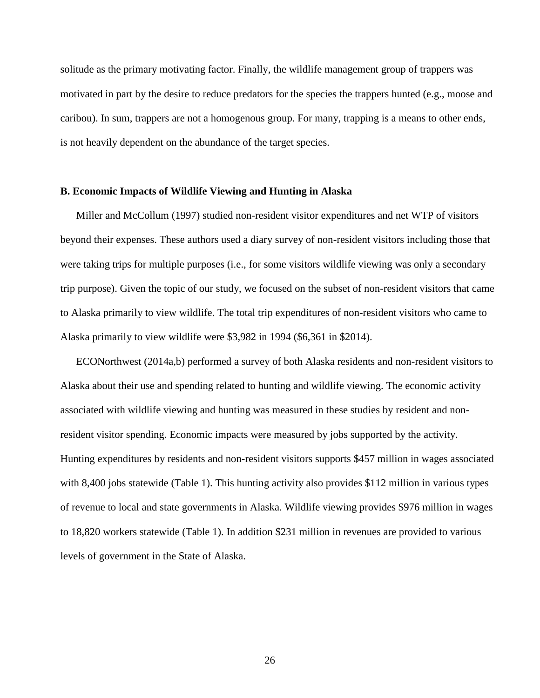solitude as the primary motivating factor. Finally, the wildlife management group of trappers was motivated in part by the desire to reduce predators for the species the trappers hunted (e.g., moose and caribou). In sum, trappers are not a homogenous group. For many, trapping is a means to other ends, is not heavily dependent on the abundance of the target species.

### **B. Economic Impacts of Wildlife Viewing and Hunting in Alaska**

Miller and McCollum (1997) studied non-resident visitor expenditures and net WTP of visitors beyond their expenses. These authors used a diary survey of non-resident visitors including those that were taking trips for multiple purposes (i.e., for some visitors wildlife viewing was only a secondary trip purpose). Given the topic of our study, we focused on the subset of non-resident visitors that came to Alaska primarily to view wildlife. The total trip expenditures of non-resident visitors who came to Alaska primarily to view wildlife were \$3,982 in 1994 (\$6,361 in \$2014).

ECONorthwest (2014a,b) performed a survey of both Alaska residents and non-resident visitors to Alaska about their use and spending related to hunting and wildlife viewing. The economic activity associated with wildlife viewing and hunting was measured in these studies by resident and nonresident visitor spending. Economic impacts were measured by jobs supported by the activity. Hunting expenditures by residents and non-resident visitors supports \$457 million in wages associated with 8,400 jobs statewide (Table 1). This hunting activity also provides \$112 million in various types of revenue to local and state governments in Alaska. Wildlife viewing provides \$976 million in wages to 18,820 workers statewide (Table 1). In addition \$231 million in revenues are provided to various levels of government in the State of Alaska.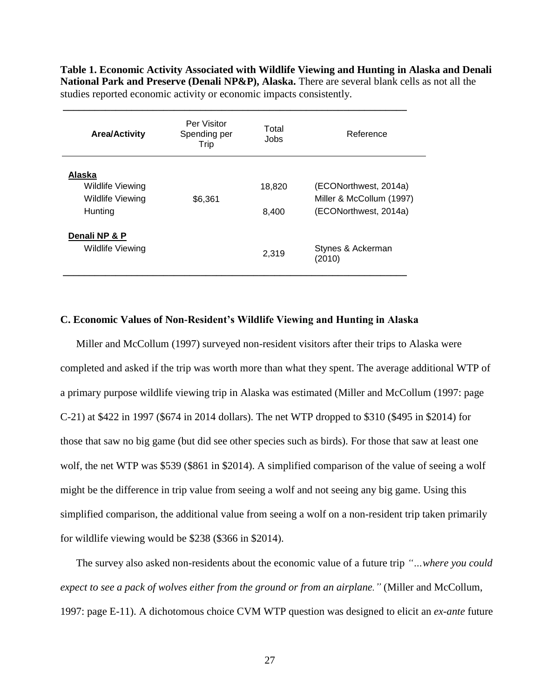**Table 1. Economic Activity Associated with Wildlife Viewing and Hunting in Alaska and Denali National Park and Preserve (Denali NP&P), Alaska.** There are several blank cells as not all the studies reported economic activity or economic impacts consistently.

| <b>Area/Activity</b>                                             | Per Visitor<br>Spending per<br>Trip | Total<br>Jobs   | Reference                                                                  |  |  |
|------------------------------------------------------------------|-------------------------------------|-----------------|----------------------------------------------------------------------------|--|--|
| Alaska<br>Wildlife Viewing<br><b>Wildlife Viewing</b><br>Hunting | \$6,361                             | 18,820<br>8.400 | (ECONorthwest, 2014a)<br>Miller & McCollum (1997)<br>(ECONorthwest, 2014a) |  |  |
| Denali NP & P<br><b>Wildlife Viewing</b>                         |                                     | 2,319           | Stynes & Ackerman<br>(2010)                                                |  |  |

**\_\_\_\_\_\_\_\_\_\_\_\_\_\_\_\_\_\_\_\_\_\_\_\_\_\_\_\_\_\_\_\_\_\_\_\_\_\_\_\_\_\_\_\_\_\_\_\_\_\_\_\_\_\_\_\_\_\_\_\_\_\_\_\_\_**

# **C. Economic Values of Non-Resident's Wildlife Viewing and Hunting in Alaska**

Miller and McCollum (1997) surveyed non-resident visitors after their trips to Alaska were completed and asked if the trip was worth more than what they spent. The average additional WTP of a primary purpose wildlife viewing trip in Alaska was estimated (Miller and McCollum (1997: page C-21) at \$422 in 1997 (\$674 in 2014 dollars). The net WTP dropped to \$310 (\$495 in \$2014) for those that saw no big game (but did see other species such as birds). For those that saw at least one wolf, the net WTP was \$539 (\$861 in \$2014). A simplified comparison of the value of seeing a wolf might be the difference in trip value from seeing a wolf and not seeing any big game. Using this simplified comparison, the additional value from seeing a wolf on a non-resident trip taken primarily for wildlife viewing would be \$238 (\$366 in \$2014).

The survey also asked non-residents about the economic value of a future trip *"…where you could expect to see a pack of wolves either from the ground or from an airplane."* (Miller and McCollum, 1997: page E-11). A dichotomous choice CVM WTP question was designed to elicit an *ex-ante* future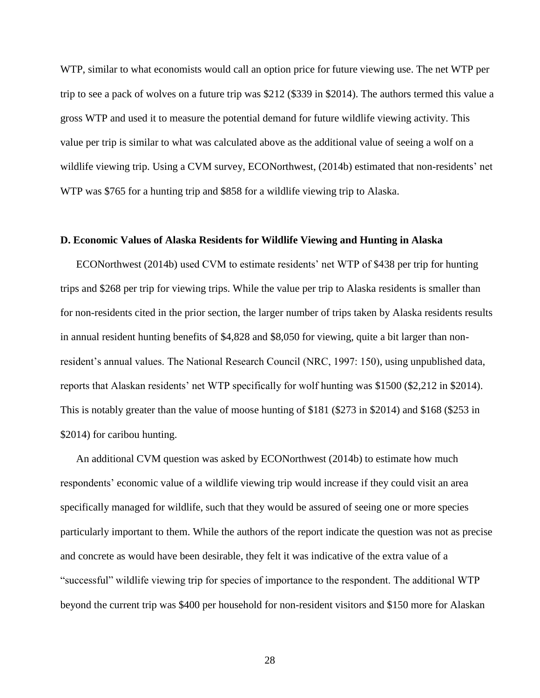WTP, similar to what economists would call an option price for future viewing use. The net WTP per trip to see a pack of wolves on a future trip was \$212 (\$339 in \$2014). The authors termed this value a gross WTP and used it to measure the potential demand for future wildlife viewing activity. This value per trip is similar to what was calculated above as the additional value of seeing a wolf on a wildlife viewing trip. Using a CVM survey, ECONorthwest, (2014b) estimated that non-residents' net WTP was \$765 for a hunting trip and \$858 for a wildlife viewing trip to Alaska.

# **D. Economic Values of Alaska Residents for Wildlife Viewing and Hunting in Alaska**

ECONorthwest (2014b) used CVM to estimate residents' net WTP of \$438 per trip for hunting trips and \$268 per trip for viewing trips. While the value per trip to Alaska residents is smaller than for non-residents cited in the prior section, the larger number of trips taken by Alaska residents results in annual resident hunting benefits of \$4,828 and \$8,050 for viewing, quite a bit larger than nonresident's annual values. The National Research Council (NRC, 1997: 150), using unpublished data, reports that Alaskan residents' net WTP specifically for wolf hunting was \$1500 (\$2,212 in \$2014). This is notably greater than the value of moose hunting of \$181 (\$273 in \$2014) and \$168 (\$253 in \$2014) for caribou hunting.

An additional CVM question was asked by ECONorthwest (2014b) to estimate how much respondents' economic value of a wildlife viewing trip would increase if they could visit an area specifically managed for wildlife, such that they would be assured of seeing one or more species particularly important to them. While the authors of the report indicate the question was not as precise and concrete as would have been desirable, they felt it was indicative of the extra value of a "successful" wildlife viewing trip for species of importance to the respondent. The additional WTP beyond the current trip was \$400 per household for non-resident visitors and \$150 more for Alaskan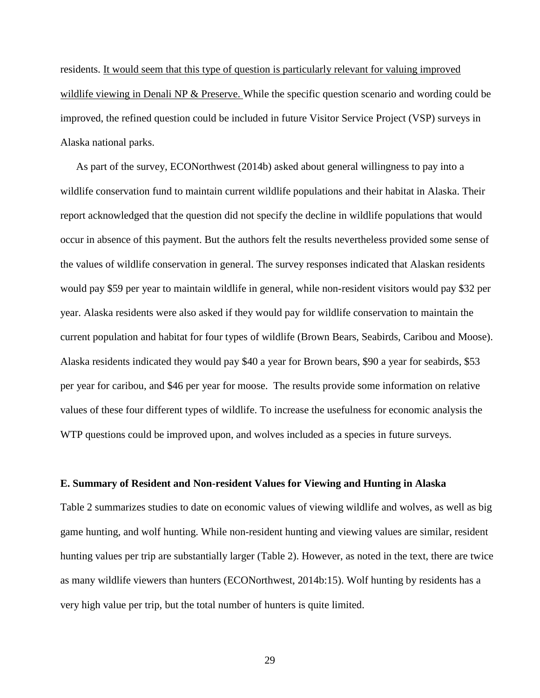residents. It would seem that this type of question is particularly relevant for valuing improved wildlife viewing in Denali NP & Preserve. While the specific question scenario and wording could be improved, the refined question could be included in future Visitor Service Project (VSP) surveys in Alaska national parks.

As part of the survey, ECONorthwest (2014b) asked about general willingness to pay into a wildlife conservation fund to maintain current wildlife populations and their habitat in Alaska. Their report acknowledged that the question did not specify the decline in wildlife populations that would occur in absence of this payment. But the authors felt the results nevertheless provided some sense of the values of wildlife conservation in general. The survey responses indicated that Alaskan residents would pay \$59 per year to maintain wildlife in general, while non-resident visitors would pay \$32 per year. Alaska residents were also asked if they would pay for wildlife conservation to maintain the current population and habitat for four types of wildlife (Brown Bears, Seabirds, Caribou and Moose). Alaska residents indicated they would pay \$40 a year for Brown bears, \$90 a year for seabirds, \$53 per year for caribou, and \$46 per year for moose. The results provide some information on relative values of these four different types of wildlife. To increase the usefulness for economic analysis the WTP questions could be improved upon, and wolves included as a species in future surveys.

#### **E. Summary of Resident and Non-resident Values for Viewing and Hunting in Alaska**

Table 2 summarizes studies to date on economic values of viewing wildlife and wolves, as well as big game hunting, and wolf hunting. While non-resident hunting and viewing values are similar, resident hunting values per trip are substantially larger (Table 2). However, as noted in the text, there are twice as many wildlife viewers than hunters (ECONorthwest, 2014b:15). Wolf hunting by residents has a very high value per trip, but the total number of hunters is quite limited.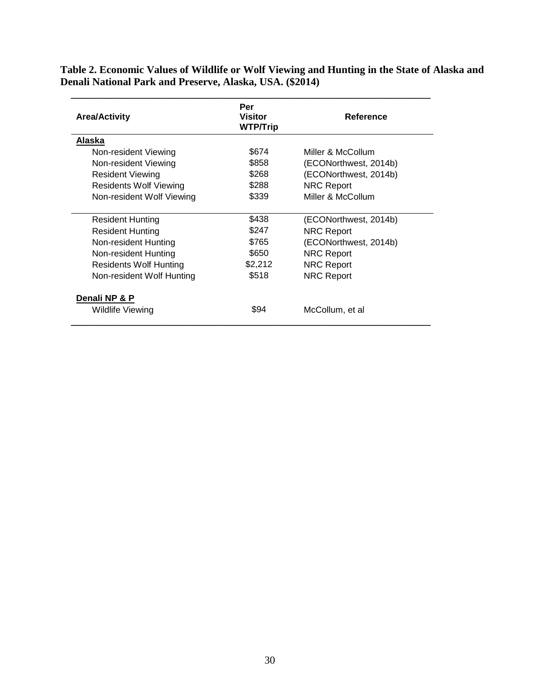**Table 2. Economic Values of Wildlife or Wolf Viewing and Hunting in the State of Alaska and Denali National Park and Preserve, Alaska, USA. (\$2014)**

| <b>Area/Activity</b>          | Per<br><b>Visitor</b><br><b>WTP/Trip</b> | Reference             |
|-------------------------------|------------------------------------------|-----------------------|
| Alaska                        |                                          |                       |
| Non-resident Viewing          | \$674                                    | Miller & McCollum     |
| Non-resident Viewing          | \$858                                    | (ECONorthwest, 2014b) |
| <b>Resident Viewing</b>       | \$268                                    | (ECONorthwest, 2014b) |
| <b>Residents Wolf Viewing</b> | \$288                                    | <b>NRC Report</b>     |
| Non-resident Wolf Viewing     | \$339                                    | Miller & McCollum     |
| <b>Resident Hunting</b>       | \$438                                    | (ECONorthwest, 2014b) |
| <b>Resident Hunting</b>       | \$247                                    | <b>NRC Report</b>     |
| Non-resident Hunting          | \$765                                    | (ECONorthwest, 2014b) |
| Non-resident Hunting          | \$650                                    | <b>NRC Report</b>     |
| Residents Wolf Hunting        | \$2,212                                  | <b>NRC Report</b>     |
| Non-resident Wolf Hunting     | \$518                                    | <b>NRC Report</b>     |
| Denali NP & P                 |                                          |                       |
| Wildlife Viewing              | \$94                                     | McCollum, et al       |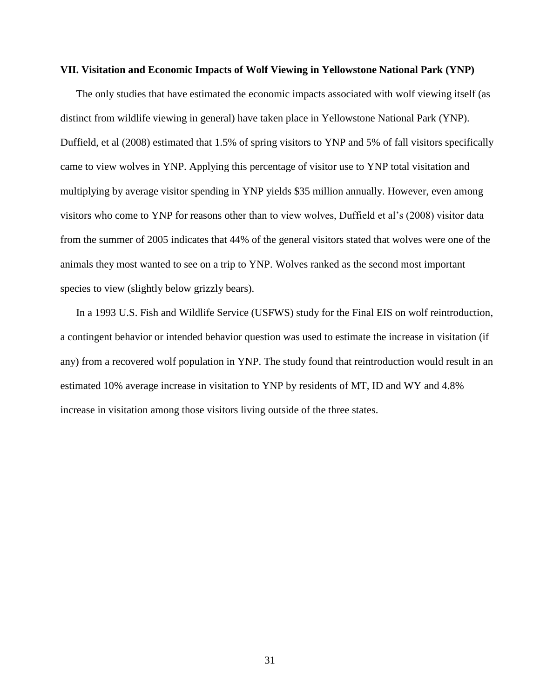#### **VII. Visitation and Economic Impacts of Wolf Viewing in Yellowstone National Park (YNP)**

The only studies that have estimated the economic impacts associated with wolf viewing itself (as distinct from wildlife viewing in general) have taken place in Yellowstone National Park (YNP). Duffield, et al (2008) estimated that 1.5% of spring visitors to YNP and 5% of fall visitors specifically came to view wolves in YNP. Applying this percentage of visitor use to YNP total visitation and multiplying by average visitor spending in YNP yields \$35 million annually. However, even among visitors who come to YNP for reasons other than to view wolves, Duffield et al's (2008) visitor data from the summer of 2005 indicates that 44% of the general visitors stated that wolves were one of the animals they most wanted to see on a trip to YNP. Wolves ranked as the second most important species to view (slightly below grizzly bears).

In a 1993 U.S. Fish and Wildlife Service (USFWS) study for the Final EIS on wolf reintroduction, a contingent behavior or intended behavior question was used to estimate the increase in visitation (if any) from a recovered wolf population in YNP. The study found that reintroduction would result in an estimated 10% average increase in visitation to YNP by residents of MT, ID and WY and 4.8% increase in visitation among those visitors living outside of the three states.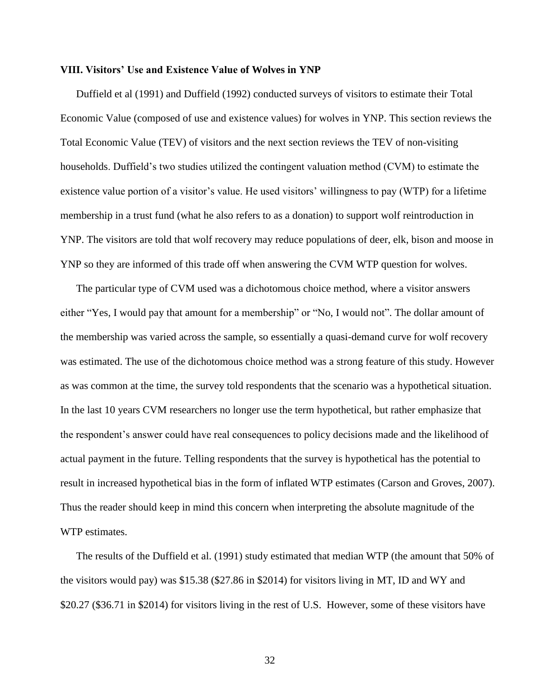#### **VIII. Visitors' Use and Existence Value of Wolves in YNP**

Duffield et al (1991) and Duffield (1992) conducted surveys of visitors to estimate their Total Economic Value (composed of use and existence values) for wolves in YNP. This section reviews the Total Economic Value (TEV) of visitors and the next section reviews the TEV of non-visiting households. Duffield's two studies utilized the contingent valuation method (CVM) to estimate the existence value portion of a visitor's value. He used visitors' willingness to pay (WTP) for a lifetime membership in a trust fund (what he also refers to as a donation) to support wolf reintroduction in YNP. The visitors are told that wolf recovery may reduce populations of deer, elk, bison and moose in YNP so they are informed of this trade off when answering the CVM WTP question for wolves.

The particular type of CVM used was a dichotomous choice method, where a visitor answers either "Yes, I would pay that amount for a membership" or "No, I would not". The dollar amount of the membership was varied across the sample, so essentially a quasi-demand curve for wolf recovery was estimated. The use of the dichotomous choice method was a strong feature of this study. However as was common at the time, the survey told respondents that the scenario was a hypothetical situation. In the last 10 years CVM researchers no longer use the term hypothetical, but rather emphasize that the respondent's answer could have real consequences to policy decisions made and the likelihood of actual payment in the future. Telling respondents that the survey is hypothetical has the potential to result in increased hypothetical bias in the form of inflated WTP estimates (Carson and Groves, 2007). Thus the reader should keep in mind this concern when interpreting the absolute magnitude of the WTP estimates.

The results of the Duffield et al. (1991) study estimated that median WTP (the amount that 50% of the visitors would pay) was \$15.38 (\$27.86 in \$2014) for visitors living in MT, ID and WY and \$20.27 (\$36.71 in \$2014) for visitors living in the rest of U.S. However, some of these visitors have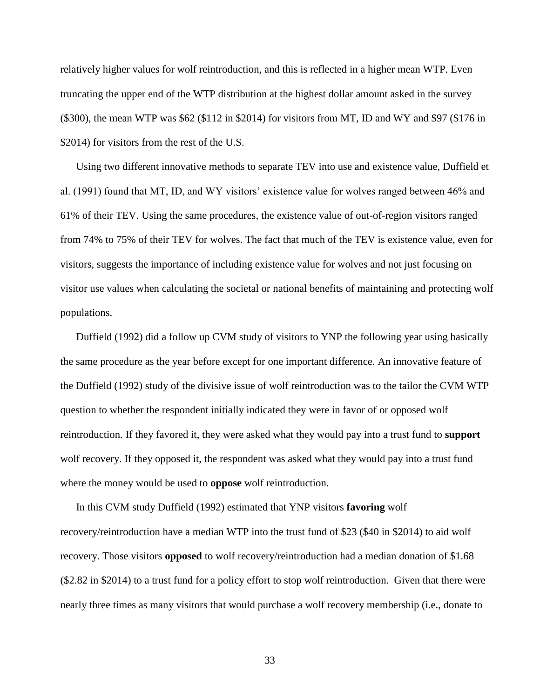relatively higher values for wolf reintroduction, and this is reflected in a higher mean WTP. Even truncating the upper end of the WTP distribution at the highest dollar amount asked in the survey (\$300), the mean WTP was \$62 (\$112 in \$2014) for visitors from MT, ID and WY and \$97 (\$176 in \$2014) for visitors from the rest of the U.S.

Using two different innovative methods to separate TEV into use and existence value, Duffield et al. (1991) found that MT, ID, and WY visitors' existence value for wolves ranged between 46% and 61% of their TEV. Using the same procedures, the existence value of out-of-region visitors ranged from 74% to 75% of their TEV for wolves. The fact that much of the TEV is existence value, even for visitors, suggests the importance of including existence value for wolves and not just focusing on visitor use values when calculating the societal or national benefits of maintaining and protecting wolf populations.

Duffield (1992) did a follow up CVM study of visitors to YNP the following year using basically the same procedure as the year before except for one important difference. An innovative feature of the Duffield (1992) study of the divisive issue of wolf reintroduction was to the tailor the CVM WTP question to whether the respondent initially indicated they were in favor of or opposed wolf reintroduction. If they favored it, they were asked what they would pay into a trust fund to **support** wolf recovery. If they opposed it, the respondent was asked what they would pay into a trust fund where the money would be used to **oppose** wolf reintroduction.

In this CVM study Duffield (1992) estimated that YNP visitors **favoring** wolf recovery/reintroduction have a median WTP into the trust fund of \$23 (\$40 in \$2014) to aid wolf recovery. Those visitors **opposed** to wolf recovery/reintroduction had a median donation of \$1.68 (\$2.82 in \$2014) to a trust fund for a policy effort to stop wolf reintroduction. Given that there were nearly three times as many visitors that would purchase a wolf recovery membership (i.e., donate to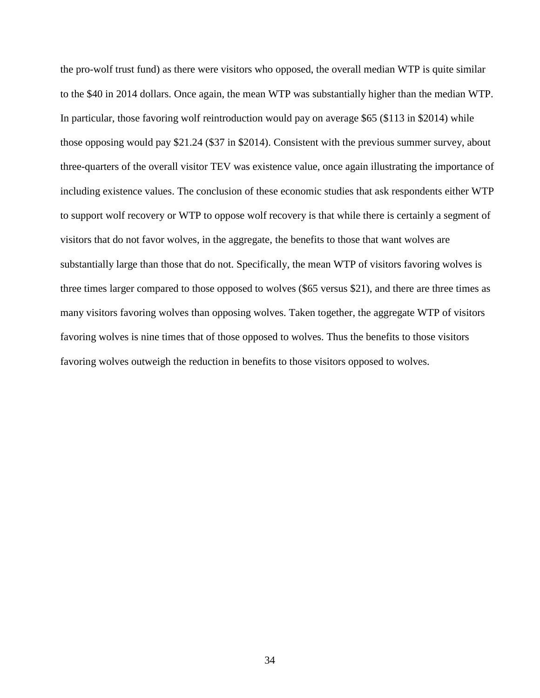the pro-wolf trust fund) as there were visitors who opposed, the overall median WTP is quite similar to the \$40 in 2014 dollars. Once again, the mean WTP was substantially higher than the median WTP. In particular, those favoring wolf reintroduction would pay on average \$65 (\$113 in \$2014) while those opposing would pay \$21.24 (\$37 in \$2014). Consistent with the previous summer survey, about three-quarters of the overall visitor TEV was existence value, once again illustrating the importance of including existence values. The conclusion of these economic studies that ask respondents either WTP to support wolf recovery or WTP to oppose wolf recovery is that while there is certainly a segment of visitors that do not favor wolves, in the aggregate, the benefits to those that want wolves are substantially large than those that do not. Specifically, the mean WTP of visitors favoring wolves is three times larger compared to those opposed to wolves (\$65 versus \$21), and there are three times as many visitors favoring wolves than opposing wolves. Taken together, the aggregate WTP of visitors favoring wolves is nine times that of those opposed to wolves. Thus the benefits to those visitors favoring wolves outweigh the reduction in benefits to those visitors opposed to wolves.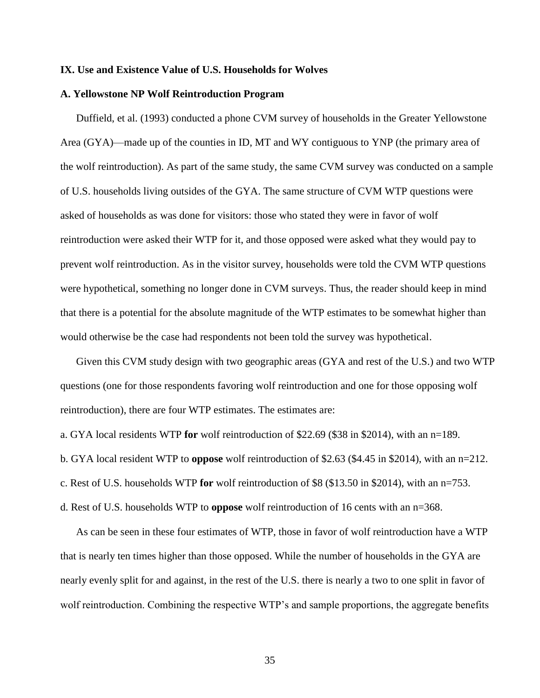#### **IX. Use and Existence Value of U.S. Households for Wolves**

#### **A. Yellowstone NP Wolf Reintroduction Program**

Duffield, et al. (1993) conducted a phone CVM survey of households in the Greater Yellowstone Area (GYA)—made up of the counties in ID, MT and WY contiguous to YNP (the primary area of the wolf reintroduction). As part of the same study, the same CVM survey was conducted on a sample of U.S. households living outsides of the GYA. The same structure of CVM WTP questions were asked of households as was done for visitors: those who stated they were in favor of wolf reintroduction were asked their WTP for it, and those opposed were asked what they would pay to prevent wolf reintroduction. As in the visitor survey, households were told the CVM WTP questions were hypothetical, something no longer done in CVM surveys. Thus, the reader should keep in mind that there is a potential for the absolute magnitude of the WTP estimates to be somewhat higher than would otherwise be the case had respondents not been told the survey was hypothetical.

Given this CVM study design with two geographic areas (GYA and rest of the U.S.) and two WTP questions (one for those respondents favoring wolf reintroduction and one for those opposing wolf reintroduction), there are four WTP estimates. The estimates are:

a. GYA local residents WTP **for** wolf reintroduction of \$22.69 (\$38 in \$2014), with an n=189.

b. GYA local resident WTP to **oppose** wolf reintroduction of \$2.63 (\$4.45 in \$2014), with an n=212.

c. Rest of U.S. households WTP **for** wolf reintroduction of \$8 (\$13.50 in \$2014), with an n=753.

d. Rest of U.S. households WTP to **oppose** wolf reintroduction of 16 cents with an n=368.

As can be seen in these four estimates of WTP, those in favor of wolf reintroduction have a WTP that is nearly ten times higher than those opposed. While the number of households in the GYA are nearly evenly split for and against, in the rest of the U.S. there is nearly a two to one split in favor of wolf reintroduction. Combining the respective WTP's and sample proportions, the aggregate benefits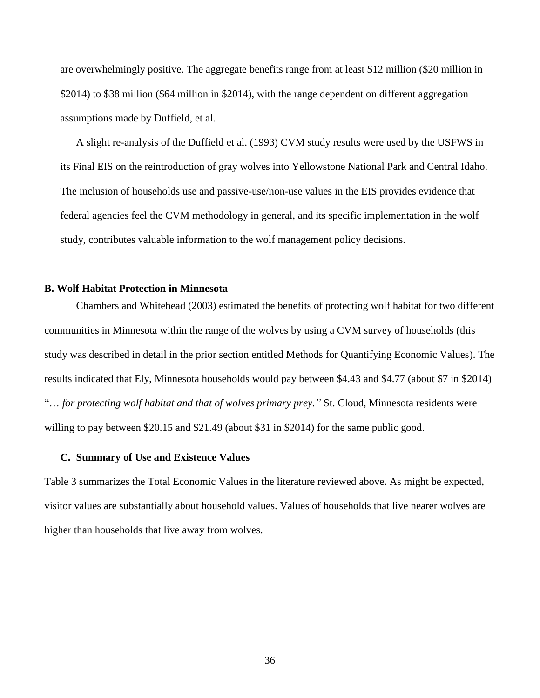are overwhelmingly positive. The aggregate benefits range from at least \$12 million (\$20 million in \$2014) to \$38 million (\$64 million in \$2014), with the range dependent on different aggregation assumptions made by Duffield, et al.

A slight re-analysis of the Duffield et al. (1993) CVM study results were used by the USFWS in its Final EIS on the reintroduction of gray wolves into Yellowstone National Park and Central Idaho. The inclusion of households use and passive-use/non-use values in the EIS provides evidence that federal agencies feel the CVM methodology in general, and its specific implementation in the wolf study, contributes valuable information to the wolf management policy decisions.

# **B. Wolf Habitat Protection in Minnesota**

Chambers and Whitehead (2003) estimated the benefits of protecting wolf habitat for two different communities in Minnesota within the range of the wolves by using a CVM survey of households (this study was described in detail in the prior section entitled Methods for Quantifying Economic Values). The results indicated that Ely, Minnesota households would pay between \$4.43 and \$4.77 (about \$7 in \$2014) "… *for protecting wolf habitat and that of wolves primary prey."* St. Cloud, Minnesota residents were willing to pay between \$20.15 and \$21.49 (about \$31 in \$2014) for the same public good.

# **C. Summary of Use and Existence Values**

Table 3 summarizes the Total Economic Values in the literature reviewed above. As might be expected, visitor values are substantially about household values. Values of households that live nearer wolves are higher than households that live away from wolves.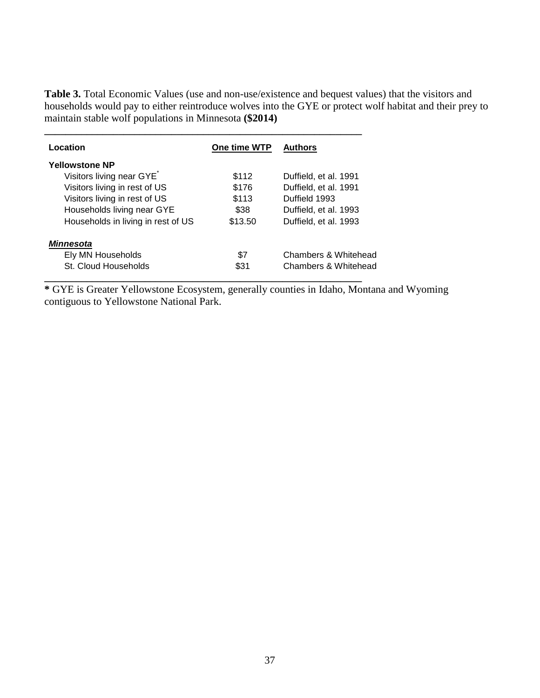**Table 3.** Total Economic Values (use and non-use/existence and bequest values) that the visitors and households would pay to either reintroduce wolves into the GYE or protect wolf habitat and their prey to maintain stable wolf populations in Minnesota **(\$2014)**

| Location                           | One time WTP | <b>Authors</b>        |
|------------------------------------|--------------|-----------------------|
| <b>Yellowstone NP</b>              |              |                       |
| Visitors living near GYE           | \$112        | Duffield, et al. 1991 |
| Visitors living in rest of US      | \$176        | Duffield, et al. 1991 |
| Visitors living in rest of US      | \$113        | Duffield 1993         |
| Households living near GYE         | \$38         | Duffield, et al. 1993 |
| Households in living in rest of US | \$13.50      | Duffield, et al. 1993 |
| <b>Minnesota</b>                   |              |                       |
| Ely MN Households                  | \$7          | Chambers & Whitehead  |
| St. Cloud Households               | \$31         | Chambers & Whitehead  |

**\*** GYE is Greater Yellowstone Ecosystem, generally counties in Idaho, Montana and Wyoming contiguous to Yellowstone National Park.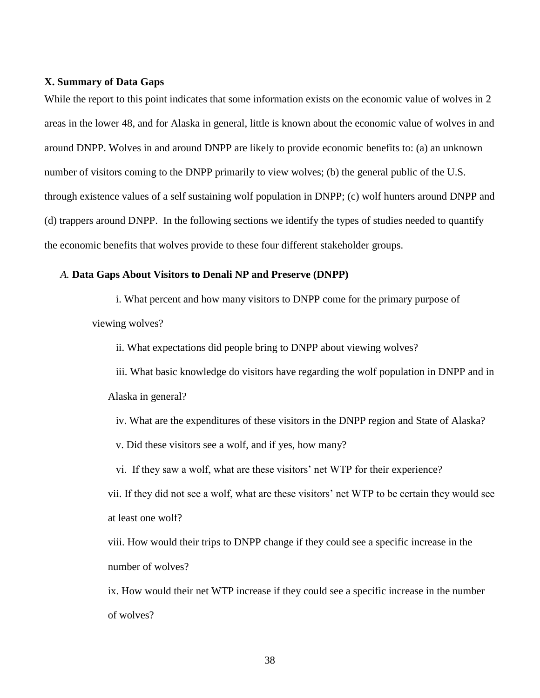# **X. Summary of Data Gaps**

While the report to this point indicates that some information exists on the economic value of wolves in 2 areas in the lower 48, and for Alaska in general, little is known about the economic value of wolves in and around DNPP. Wolves in and around DNPP are likely to provide economic benefits to: (a) an unknown number of visitors coming to the DNPP primarily to view wolves; (b) the general public of the U.S. through existence values of a self sustaining wolf population in DNPP; (c) wolf hunters around DNPP and (d) trappers around DNPP. In the following sections we identify the types of studies needed to quantify the economic benefits that wolves provide to these four different stakeholder groups.

#### *A.* **Data Gaps About Visitors to Denali NP and Preserve (DNPP)**

i. What percent and how many visitors to DNPP come for the primary purpose of viewing wolves?

ii. What expectations did people bring to DNPP about viewing wolves?

iii. What basic knowledge do visitors have regarding the wolf population in DNPP and in Alaska in general?

- iv. What are the expenditures of these visitors in the DNPP region and State of Alaska?
- v. Did these visitors see a wolf, and if yes, how many?
- vi. If they saw a wolf, what are these visitors' net WTP for their experience?

vii. If they did not see a wolf, what are these visitors' net WTP to be certain they would see at least one wolf?

viii. How would their trips to DNPP change if they could see a specific increase in the number of wolves?

ix. How would their net WTP increase if they could see a specific increase in the number of wolves?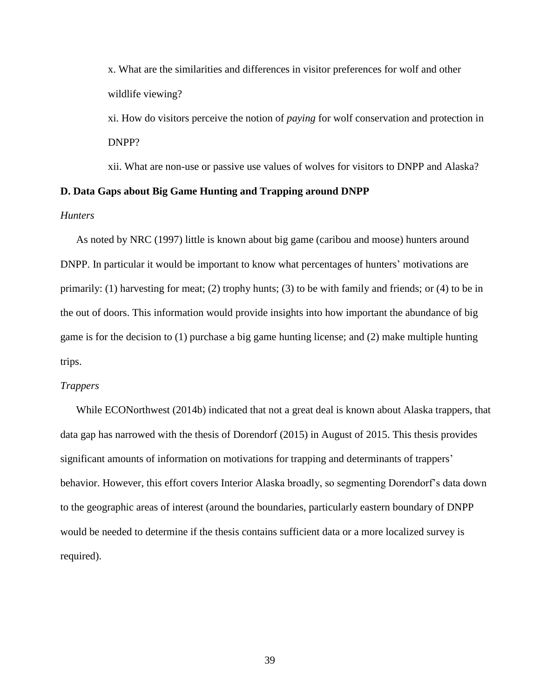x. What are the similarities and differences in visitor preferences for wolf and other wildlife viewing?

xi. How do visitors perceive the notion of *paying* for wolf conservation and protection in DNPP?

xii. What are non-use or passive use values of wolves for visitors to DNPP and Alaska?

# **D. Data Gaps about Big Game Hunting and Trapping around DNPP**

# *Hunters*

As noted by NRC (1997) little is known about big game (caribou and moose) hunters around DNPP. In particular it would be important to know what percentages of hunters' motivations are primarily: (1) harvesting for meat; (2) trophy hunts; (3) to be with family and friends; or (4) to be in the out of doors. This information would provide insights into how important the abundance of big game is for the decision to (1) purchase a big game hunting license; and (2) make multiple hunting trips.

#### *Trappers*

While ECONorthwest (2014b) indicated that not a great deal is known about Alaska trappers, that data gap has narrowed with the thesis of Dorendorf (2015) in August of 2015. This thesis provides significant amounts of information on motivations for trapping and determinants of trappers' behavior. However, this effort covers Interior Alaska broadly, so segmenting Dorendorf's data down to the geographic areas of interest (around the boundaries, particularly eastern boundary of DNPP would be needed to determine if the thesis contains sufficient data or a more localized survey is required).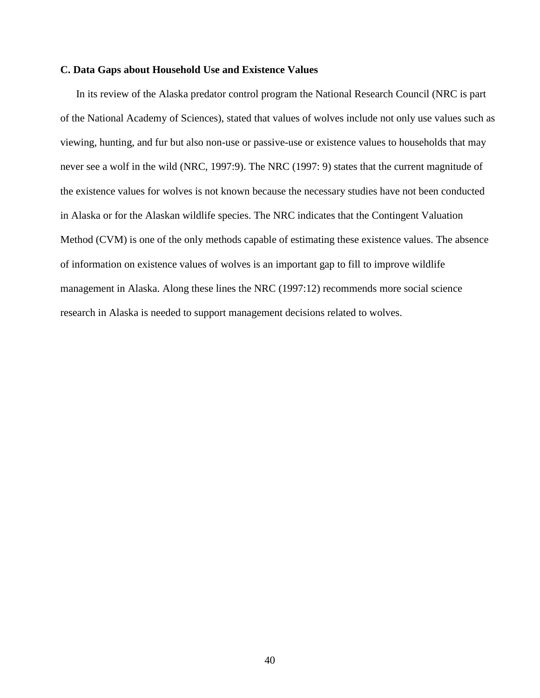# **C. Data Gaps about Household Use and Existence Values**

In its review of the Alaska predator control program the National Research Council (NRC is part of the National Academy of Sciences), stated that values of wolves include not only use values such as viewing, hunting, and fur but also non-use or passive-use or existence values to households that may never see a wolf in the wild (NRC, 1997:9). The NRC (1997: 9) states that the current magnitude of the existence values for wolves is not known because the necessary studies have not been conducted in Alaska or for the Alaskan wildlife species. The NRC indicates that the Contingent Valuation Method (CVM) is one of the only methods capable of estimating these existence values. The absence of information on existence values of wolves is an important gap to fill to improve wildlife management in Alaska. Along these lines the NRC (1997:12) recommends more social science research in Alaska is needed to support management decisions related to wolves.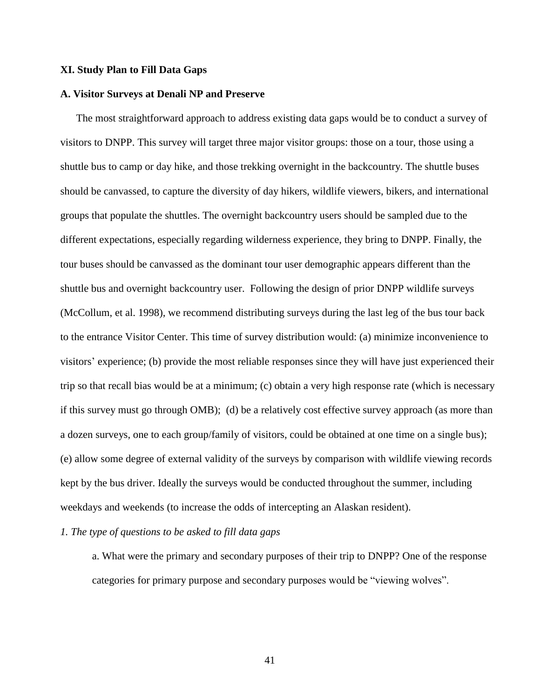# **XI. Study Plan to Fill Data Gaps**

### **A. Visitor Surveys at Denali NP and Preserve**

The most straightforward approach to address existing data gaps would be to conduct a survey of visitors to DNPP. This survey will target three major visitor groups: those on a tour, those using a shuttle bus to camp or day hike, and those trekking overnight in the backcountry. The shuttle buses should be canvassed, to capture the diversity of day hikers, wildlife viewers, bikers, and international groups that populate the shuttles. The overnight backcountry users should be sampled due to the different expectations, especially regarding wilderness experience, they bring to DNPP. Finally, the tour buses should be canvassed as the dominant tour user demographic appears different than the shuttle bus and overnight backcountry user. Following the design of prior DNPP wildlife surveys (McCollum, et al. 1998), we recommend distributing surveys during the last leg of the bus tour back to the entrance Visitor Center. This time of survey distribution would: (a) minimize inconvenience to visitors' experience; (b) provide the most reliable responses since they will have just experienced their trip so that recall bias would be at a minimum; (c) obtain a very high response rate (which is necessary if this survey must go through OMB); (d) be a relatively cost effective survey approach (as more than a dozen surveys, one to each group/family of visitors, could be obtained at one time on a single bus); (e) allow some degree of external validity of the surveys by comparison with wildlife viewing records kept by the bus driver. Ideally the surveys would be conducted throughout the summer, including weekdays and weekends (to increase the odds of intercepting an Alaskan resident).

# *1. The type of questions to be asked to fill data gaps*

a. What were the primary and secondary purposes of their trip to DNPP? One of the response categories for primary purpose and secondary purposes would be "viewing wolves".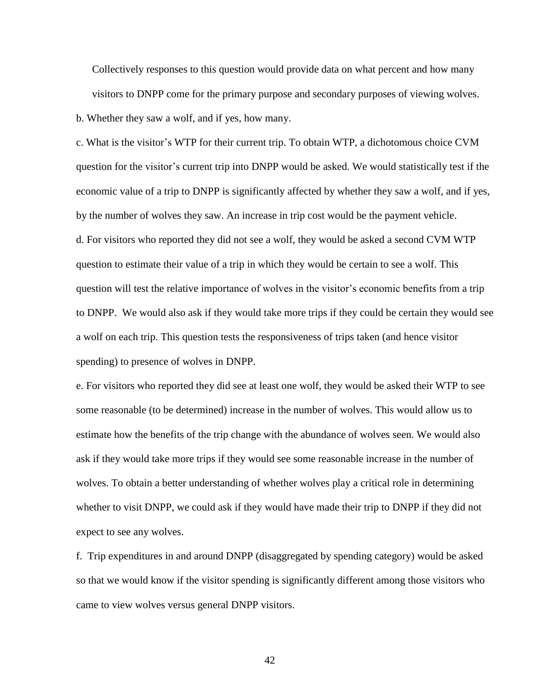Collectively responses to this question would provide data on what percent and how many visitors to DNPP come for the primary purpose and secondary purposes of viewing wolves.

b. Whether they saw a wolf, and if yes, how many.

c. What is the visitor's WTP for their current trip. To obtain WTP, a dichotomous choice CVM question for the visitor's current trip into DNPP would be asked. We would statistically test if the economic value of a trip to DNPP is significantly affected by whether they saw a wolf, and if yes, by the number of wolves they saw. An increase in trip cost would be the payment vehicle. d. For visitors who reported they did not see a wolf, they would be asked a second CVM WTP question to estimate their value of a trip in which they would be certain to see a wolf. This question will test the relative importance of wolves in the visitor's economic benefits from a trip to DNPP. We would also ask if they would take more trips if they could be certain they would see a wolf on each trip. This question tests the responsiveness of trips taken (and hence visitor spending) to presence of wolves in DNPP.

e. For visitors who reported they did see at least one wolf, they would be asked their WTP to see some reasonable (to be determined) increase in the number of wolves. This would allow us to estimate how the benefits of the trip change with the abundance of wolves seen. We would also ask if they would take more trips if they would see some reasonable increase in the number of wolves. To obtain a better understanding of whether wolves play a critical role in determining whether to visit DNPP, we could ask if they would have made their trip to DNPP if they did not expect to see any wolves.

f. Trip expenditures in and around DNPP (disaggregated by spending category) would be asked so that we would know if the visitor spending is significantly different among those visitors who came to view wolves versus general DNPP visitors.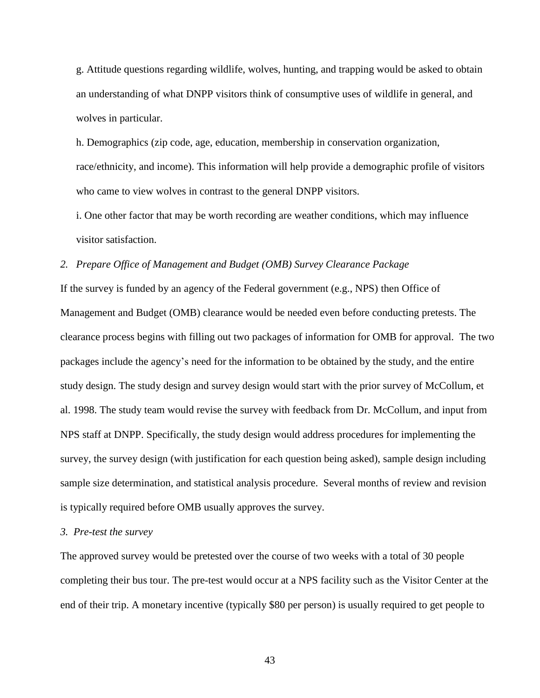g. Attitude questions regarding wildlife, wolves, hunting, and trapping would be asked to obtain an understanding of what DNPP visitors think of consumptive uses of wildlife in general, and wolves in particular.

h. Demographics (zip code, age, education, membership in conservation organization, race/ethnicity, and income). This information will help provide a demographic profile of visitors who came to view wolves in contrast to the general DNPP visitors.

i. One other factor that may be worth recording are weather conditions, which may influence visitor satisfaction.

# *2. Prepare Office of Management and Budget (OMB) Survey Clearance Package*

If the survey is funded by an agency of the Federal government (e.g., NPS) then Office of Management and Budget (OMB) clearance would be needed even before conducting pretests. The clearance process begins with filling out two packages of information for OMB for approval. The two packages include the agency's need for the information to be obtained by the study, and the entire study design. The study design and survey design would start with the prior survey of McCollum, et al. 1998. The study team would revise the survey with feedback from Dr. McCollum, and input from NPS staff at DNPP. Specifically, the study design would address procedures for implementing the survey, the survey design (with justification for each question being asked), sample design including sample size determination, and statistical analysis procedure. Several months of review and revision is typically required before OMB usually approves the survey.

# *3. Pre-test the survey*

The approved survey would be pretested over the course of two weeks with a total of 30 people completing their bus tour. The pre-test would occur at a NPS facility such as the Visitor Center at the end of their trip. A monetary incentive (typically \$80 per person) is usually required to get people to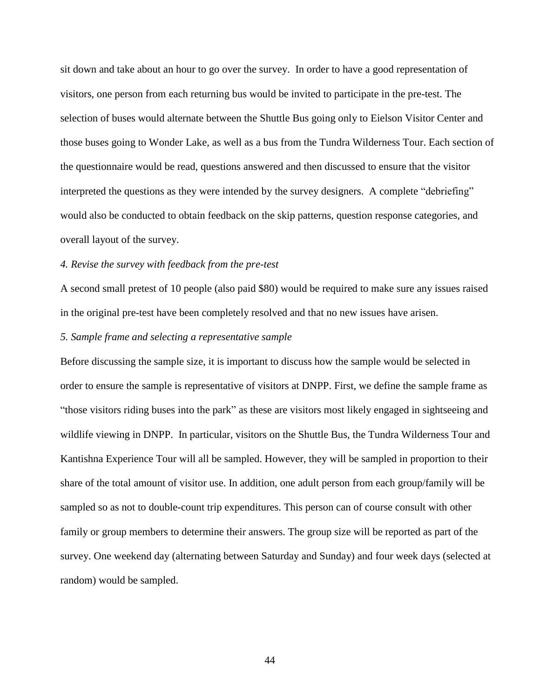sit down and take about an hour to go over the survey. In order to have a good representation of visitors, one person from each returning bus would be invited to participate in the pre-test. The selection of buses would alternate between the Shuttle Bus going only to Eielson Visitor Center and those buses going to Wonder Lake, as well as a bus from the Tundra Wilderness Tour. Each section of the questionnaire would be read, questions answered and then discussed to ensure that the visitor interpreted the questions as they were intended by the survey designers. A complete "debriefing" would also be conducted to obtain feedback on the skip patterns, question response categories, and overall layout of the survey.

# *4. Revise the survey with feedback from the pre-test*

A second small pretest of 10 people (also paid \$80) would be required to make sure any issues raised in the original pre-test have been completely resolved and that no new issues have arisen.

#### *5. Sample frame and selecting a representative sample*

Before discussing the sample size, it is important to discuss how the sample would be selected in order to ensure the sample is representative of visitors at DNPP. First, we define the sample frame as "those visitors riding buses into the park" as these are visitors most likely engaged in sightseeing and wildlife viewing in DNPP. In particular, visitors on the Shuttle Bus, the Tundra Wilderness Tour and Kantishna Experience Tour will all be sampled. However, they will be sampled in proportion to their share of the total amount of visitor use. In addition, one adult person from each group/family will be sampled so as not to double-count trip expenditures. This person can of course consult with other family or group members to determine their answers. The group size will be reported as part of the survey. One weekend day (alternating between Saturday and Sunday) and four week days (selected at random) would be sampled.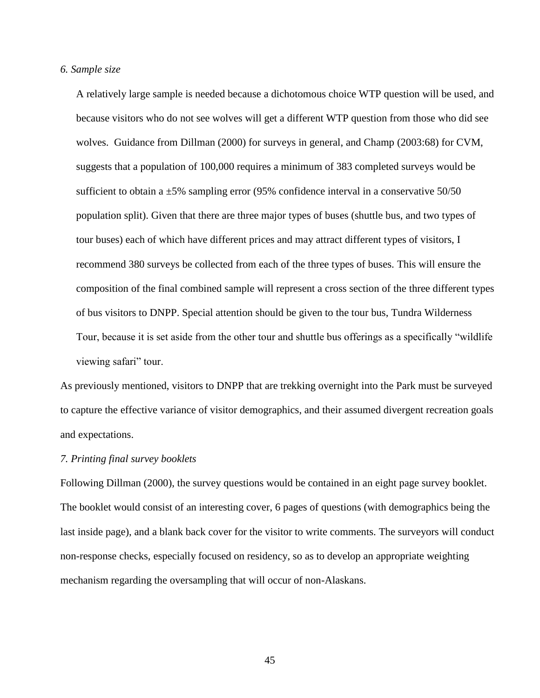## *6. Sample size*

A relatively large sample is needed because a dichotomous choice WTP question will be used, and because visitors who do not see wolves will get a different WTP question from those who did see wolves. Guidance from Dillman (2000) for surveys in general, and Champ (2003:68) for CVM, suggests that a population of 100,000 requires a minimum of 383 completed surveys would be sufficient to obtain a  $\pm 5\%$  sampling error (95% confidence interval in a conservative 50/50 population split). Given that there are three major types of buses (shuttle bus, and two types of tour buses) each of which have different prices and may attract different types of visitors, I recommend 380 surveys be collected from each of the three types of buses. This will ensure the composition of the final combined sample will represent a cross section of the three different types of bus visitors to DNPP. Special attention should be given to the tour bus, Tundra Wilderness Tour, because it is set aside from the other tour and shuttle bus offerings as a specifically "wildlife viewing safari" tour.

As previously mentioned, visitors to DNPP that are trekking overnight into the Park must be surveyed to capture the effective variance of visitor demographics, and their assumed divergent recreation goals and expectations.

### *7. Printing final survey booklets*

Following Dillman (2000), the survey questions would be contained in an eight page survey booklet. The booklet would consist of an interesting cover, 6 pages of questions (with demographics being the last inside page), and a blank back cover for the visitor to write comments. The surveyors will conduct non-response checks, especially focused on residency, so as to develop an appropriate weighting mechanism regarding the oversampling that will occur of non-Alaskans.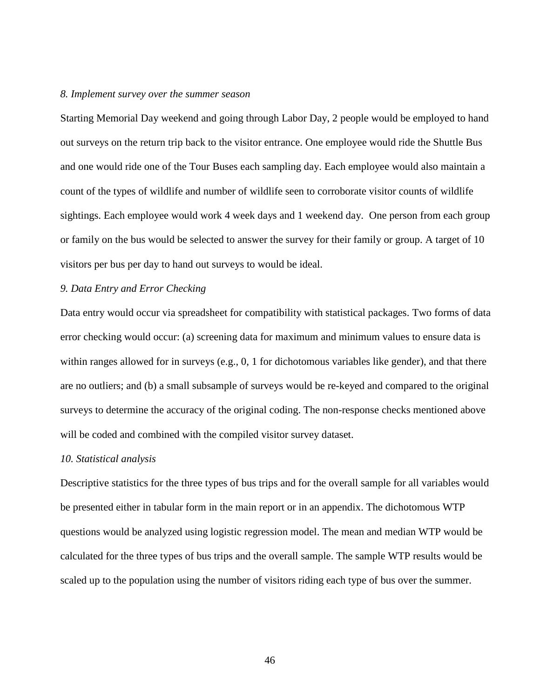# *8. Implement survey over the summer season*

Starting Memorial Day weekend and going through Labor Day, 2 people would be employed to hand out surveys on the return trip back to the visitor entrance. One employee would ride the Shuttle Bus and one would ride one of the Tour Buses each sampling day. Each employee would also maintain a count of the types of wildlife and number of wildlife seen to corroborate visitor counts of wildlife sightings. Each employee would work 4 week days and 1 weekend day. One person from each group or family on the bus would be selected to answer the survey for their family or group. A target of 10 visitors per bus per day to hand out surveys to would be ideal.

# *9. Data Entry and Error Checking*

Data entry would occur via spreadsheet for compatibility with statistical packages. Two forms of data error checking would occur: (a) screening data for maximum and minimum values to ensure data is within ranges allowed for in surveys (e.g., 0, 1 for dichotomous variables like gender), and that there are no outliers; and (b) a small subsample of surveys would be re-keyed and compared to the original surveys to determine the accuracy of the original coding. The non-response checks mentioned above will be coded and combined with the compiled visitor survey dataset.

#### *10. Statistical analysis*

Descriptive statistics for the three types of bus trips and for the overall sample for all variables would be presented either in tabular form in the main report or in an appendix. The dichotomous WTP questions would be analyzed using logistic regression model. The mean and median WTP would be calculated for the three types of bus trips and the overall sample. The sample WTP results would be scaled up to the population using the number of visitors riding each type of bus over the summer.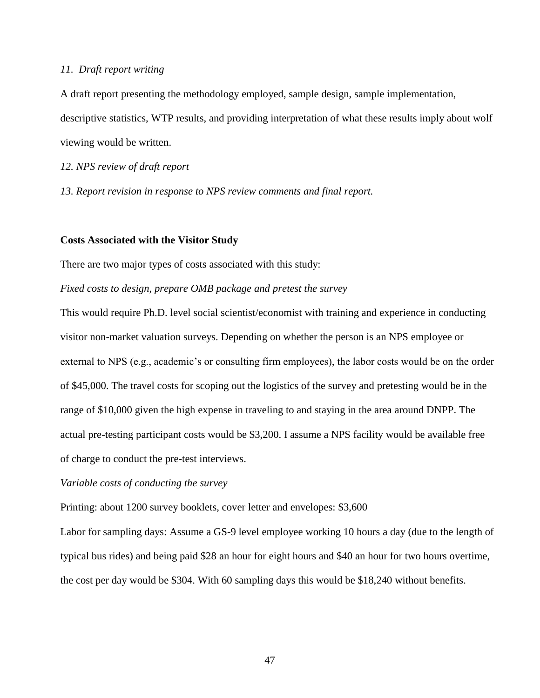# *11. Draft report writing*

A draft report presenting the methodology employed, sample design, sample implementation, descriptive statistics, WTP results, and providing interpretation of what these results imply about wolf viewing would be written.

*12. NPS review of draft report* 

*13. Report revision in response to NPS review comments and final report.* 

# **Costs Associated with the Visitor Study**

There are two major types of costs associated with this study:

# *Fixed costs to design, prepare OMB package and pretest the survey*

This would require Ph.D. level social scientist/economist with training and experience in conducting visitor non-market valuation surveys. Depending on whether the person is an NPS employee or external to NPS (e.g., academic's or consulting firm employees), the labor costs would be on the order of \$45,000. The travel costs for scoping out the logistics of the survey and pretesting would be in the range of \$10,000 given the high expense in traveling to and staying in the area around DNPP. The actual pre-testing participant costs would be \$3,200. I assume a NPS facility would be available free of charge to conduct the pre-test interviews.

*Variable costs of conducting the survey*

Printing: about 1200 survey booklets, cover letter and envelopes: \$3,600

Labor for sampling days: Assume a GS-9 level employee working 10 hours a day (due to the length of typical bus rides) and being paid \$28 an hour for eight hours and \$40 an hour for two hours overtime, the cost per day would be \$304. With 60 sampling days this would be \$18,240 without benefits.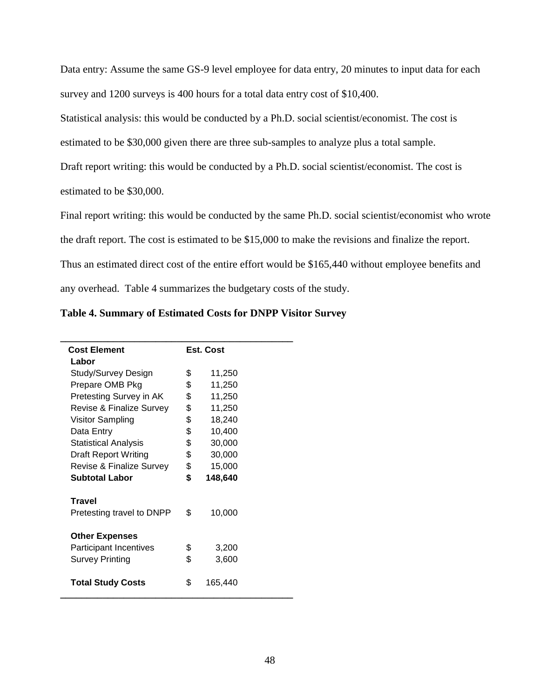Data entry: Assume the same GS-9 level employee for data entry, 20 minutes to input data for each survey and 1200 surveys is 400 hours for a total data entry cost of \$10,400.

Statistical analysis: this would be conducted by a Ph.D. social scientist/economist. The cost is

estimated to be \$30,000 given there are three sub-samples to analyze plus a total sample.

Draft report writing: this would be conducted by a Ph.D. social scientist/economist. The cost is

estimated to be \$30,000.

Final report writing: this would be conducted by the same Ph.D. social scientist/economist who wrote

the draft report. The cost is estimated to be \$15,000 to make the revisions and finalize the report.

Thus an estimated direct cost of the entire effort would be \$165,440 without employee benefits and

any overhead. Table 4 summarizes the budgetary costs of the study.

| Table 4. Summary of Estimated Costs for DNPP Visitor Survey |  |  |
|-------------------------------------------------------------|--|--|
|                                                             |  |  |

| <b>Cost Element</b>                 |    | Est. Cost |  |
|-------------------------------------|----|-----------|--|
| Labor                               |    |           |  |
| Study/Survey Design                 | \$ | 11,250    |  |
| Prepare OMB Pkg                     | \$ | 11,250    |  |
| Pretesting Survey in AK             | \$ | 11,250    |  |
| <b>Revise &amp; Finalize Survey</b> | \$ | 11,250    |  |
| Visitor Sampling                    | \$ | 18,240    |  |
| Data Entry                          | \$ | 10,400    |  |
| <b>Statistical Analysis</b>         | \$ | 30,000    |  |
| <b>Draft Report Writing</b>         | \$ | 30,000    |  |
| <b>Revise &amp; Finalize Survey</b> | \$ | 15,000    |  |
| Subtotal Labor                      | \$ | 148,640   |  |
| <b>Travel</b>                       |    |           |  |
| Pretesting travel to DNPP           | \$ | 10,000    |  |
| <b>Other Expenses</b>               |    |           |  |
| <b>Participant Incentives</b>       | \$ | 3,200     |  |
| <b>Survey Printing</b>              | \$ | 3,600     |  |
| <b>Total Study Costs</b>            | \$ | 165,440   |  |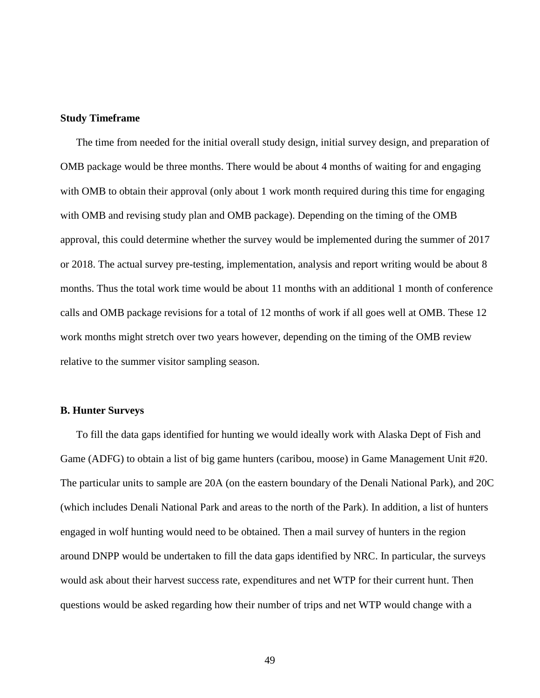# **Study Timeframe**

The time from needed for the initial overall study design, initial survey design, and preparation of OMB package would be three months. There would be about 4 months of waiting for and engaging with OMB to obtain their approval (only about 1 work month required during this time for engaging with OMB and revising study plan and OMB package). Depending on the timing of the OMB approval, this could determine whether the survey would be implemented during the summer of 2017 or 2018. The actual survey pre-testing, implementation, analysis and report writing would be about 8 months. Thus the total work time would be about 11 months with an additional 1 month of conference calls and OMB package revisions for a total of 12 months of work if all goes well at OMB. These 12 work months might stretch over two years however, depending on the timing of the OMB review relative to the summer visitor sampling season.

## **B. Hunter Surveys**

To fill the data gaps identified for hunting we would ideally work with Alaska Dept of Fish and Game (ADFG) to obtain a list of big game hunters (caribou, moose) in Game Management Unit #20. The particular units to sample are 20A (on the eastern boundary of the Denali National Park), and 20C (which includes Denali National Park and areas to the north of the Park). In addition, a list of hunters engaged in wolf hunting would need to be obtained. Then a mail survey of hunters in the region around DNPP would be undertaken to fill the data gaps identified by NRC. In particular, the surveys would ask about their harvest success rate, expenditures and net WTP for their current hunt. Then questions would be asked regarding how their number of trips and net WTP would change with a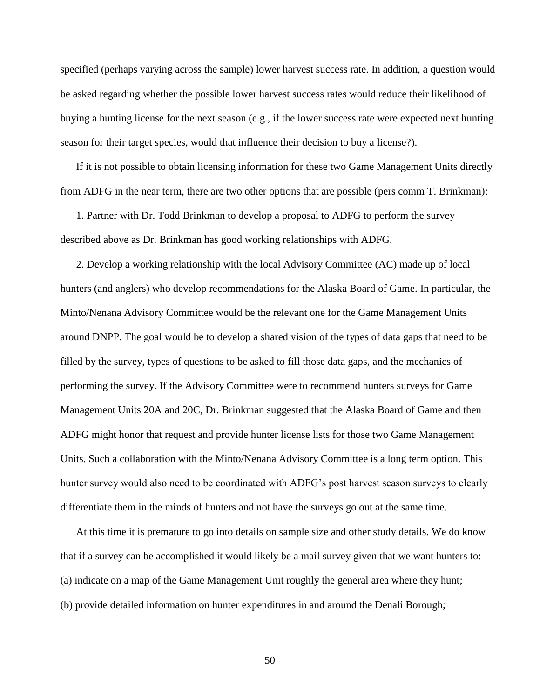specified (perhaps varying across the sample) lower harvest success rate. In addition, a question would be asked regarding whether the possible lower harvest success rates would reduce their likelihood of buying a hunting license for the next season (e.g., if the lower success rate were expected next hunting season for their target species, would that influence their decision to buy a license?).

If it is not possible to obtain licensing information for these two Game Management Units directly from ADFG in the near term, there are two other options that are possible (pers comm T. Brinkman):

1. Partner with Dr. Todd Brinkman to develop a proposal to ADFG to perform the survey described above as Dr. Brinkman has good working relationships with ADFG.

2. Develop a working relationship with the local Advisory Committee (AC) made up of local hunters (and anglers) who develop recommendations for the Alaska Board of Game. In particular, the Minto/Nenana Advisory Committee would be the relevant one for the Game Management Units around DNPP. The goal would be to develop a shared vision of the types of data gaps that need to be filled by the survey, types of questions to be asked to fill those data gaps, and the mechanics of performing the survey. If the Advisory Committee were to recommend hunters surveys for Game Management Units 20A and 20C, Dr. Brinkman suggested that the Alaska Board of Game and then ADFG might honor that request and provide hunter license lists for those two Game Management Units. Such a collaboration with the Minto/Nenana Advisory Committee is a long term option. This hunter survey would also need to be coordinated with ADFG's post harvest season surveys to clearly differentiate them in the minds of hunters and not have the surveys go out at the same time.

At this time it is premature to go into details on sample size and other study details. We do know that if a survey can be accomplished it would likely be a mail survey given that we want hunters to: (a) indicate on a map of the Game Management Unit roughly the general area where they hunt; (b) provide detailed information on hunter expenditures in and around the Denali Borough;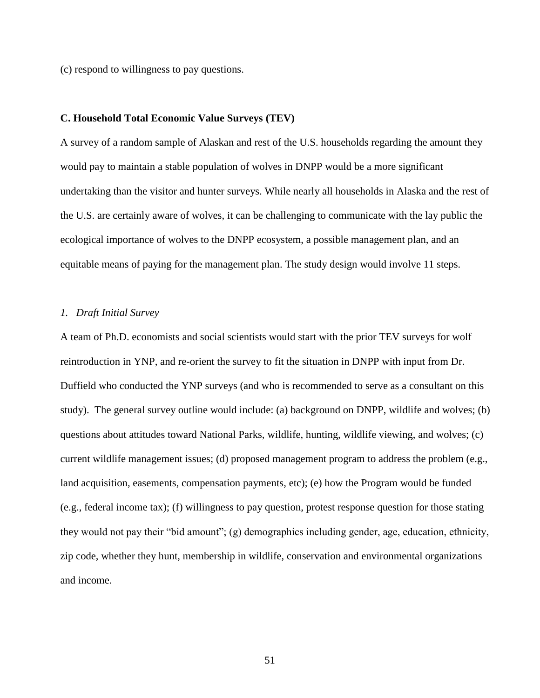(c) respond to willingness to pay questions.

#### **C. Household Total Economic Value Surveys (TEV)**

A survey of a random sample of Alaskan and rest of the U.S. households regarding the amount they would pay to maintain a stable population of wolves in DNPP would be a more significant undertaking than the visitor and hunter surveys. While nearly all households in Alaska and the rest of the U.S. are certainly aware of wolves, it can be challenging to communicate with the lay public the ecological importance of wolves to the DNPP ecosystem, a possible management plan, and an equitable means of paying for the management plan. The study design would involve 11 steps.

# *1. Draft Initial Survey*

A team of Ph.D. economists and social scientists would start with the prior TEV surveys for wolf reintroduction in YNP, and re-orient the survey to fit the situation in DNPP with input from Dr. Duffield who conducted the YNP surveys (and who is recommended to serve as a consultant on this study). The general survey outline would include: (a) background on DNPP, wildlife and wolves; (b) questions about attitudes toward National Parks, wildlife, hunting, wildlife viewing, and wolves; (c) current wildlife management issues; (d) proposed management program to address the problem (e.g., land acquisition, easements, compensation payments, etc); (e) how the Program would be funded (e.g., federal income tax); (f) willingness to pay question, protest response question for those stating they would not pay their "bid amount"; (g) demographics including gender, age, education, ethnicity, zip code, whether they hunt, membership in wildlife, conservation and environmental organizations and income.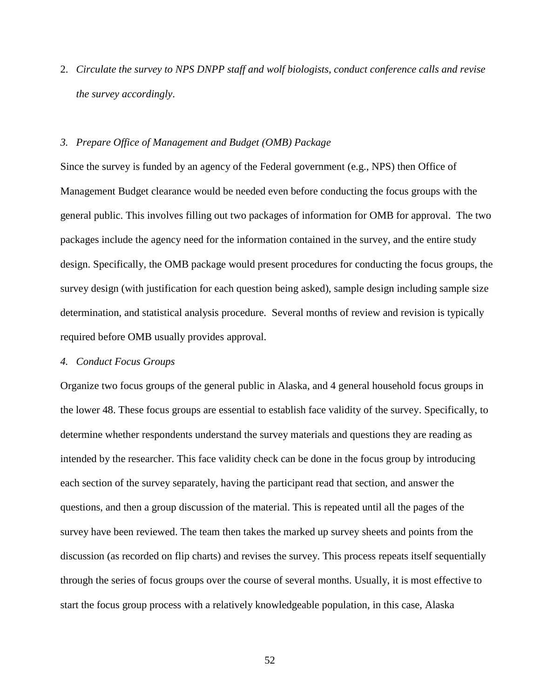2. *Circulate the survey to NPS DNPP staff and wolf biologists, conduct conference calls and revise the survey accordingly*.

# *3. Prepare Office of Management and Budget (OMB) Package*

Since the survey is funded by an agency of the Federal government (e.g., NPS) then Office of Management Budget clearance would be needed even before conducting the focus groups with the general public. This involves filling out two packages of information for OMB for approval. The two packages include the agency need for the information contained in the survey, and the entire study design. Specifically, the OMB package would present procedures for conducting the focus groups, the survey design (with justification for each question being asked), sample design including sample size determination, and statistical analysis procedure. Several months of review and revision is typically required before OMB usually provides approval.

### *4. Conduct Focus Groups*

Organize two focus groups of the general public in Alaska, and 4 general household focus groups in the lower 48. These focus groups are essential to establish face validity of the survey. Specifically, to determine whether respondents understand the survey materials and questions they are reading as intended by the researcher. This face validity check can be done in the focus group by introducing each section of the survey separately, having the participant read that section, and answer the questions, and then a group discussion of the material. This is repeated until all the pages of the survey have been reviewed. The team then takes the marked up survey sheets and points from the discussion (as recorded on flip charts) and revises the survey. This process repeats itself sequentially through the series of focus groups over the course of several months. Usually, it is most effective to start the focus group process with a relatively knowledgeable population, in this case, Alaska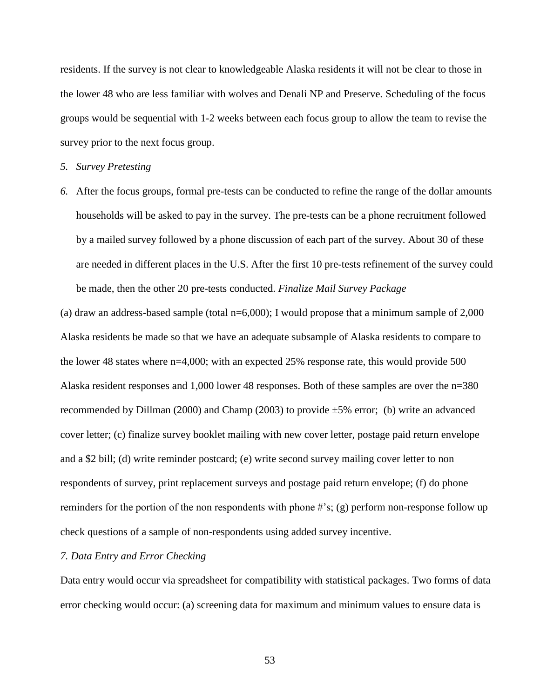residents. If the survey is not clear to knowledgeable Alaska residents it will not be clear to those in the lower 48 who are less familiar with wolves and Denali NP and Preserve. Scheduling of the focus groups would be sequential with 1-2 weeks between each focus group to allow the team to revise the survey prior to the next focus group.

# *5. Survey Pretesting*

*6.* After the focus groups, formal pre-tests can be conducted to refine the range of the dollar amounts households will be asked to pay in the survey. The pre-tests can be a phone recruitment followed by a mailed survey followed by a phone discussion of each part of the survey. About 30 of these are needed in different places in the U.S. After the first 10 pre-tests refinement of the survey could be made, then the other 20 pre-tests conducted. *Finalize Mail Survey Package*

(a) draw an address-based sample (total  $n=6,000$ ); I would propose that a minimum sample of 2,000 Alaska residents be made so that we have an adequate subsample of Alaska residents to compare to the lower 48 states where n=4,000; with an expected 25% response rate, this would provide 500 Alaska resident responses and 1,000 lower 48 responses. Both of these samples are over the n=380 recommended by Dillman (2000) and Champ (2003) to provide ±5% error; (b) write an advanced cover letter; (c) finalize survey booklet mailing with new cover letter, postage paid return envelope and a \$2 bill; (d) write reminder postcard; (e) write second survey mailing cover letter to non respondents of survey, print replacement surveys and postage paid return envelope; (f) do phone reminders for the portion of the non respondents with phone #'s; (g) perform non-response follow up check questions of a sample of non-respondents using added survey incentive.

# *7. Data Entry and Error Checking*

Data entry would occur via spreadsheet for compatibility with statistical packages. Two forms of data error checking would occur: (a) screening data for maximum and minimum values to ensure data is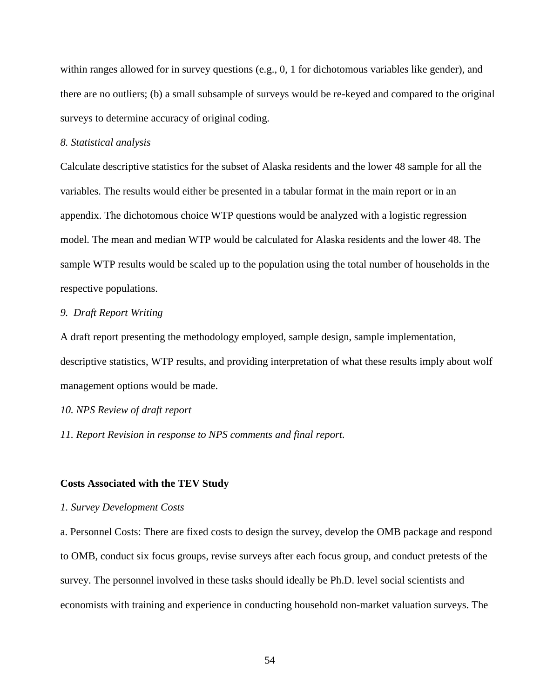within ranges allowed for in survey questions (e.g., 0, 1 for dichotomous variables like gender), and there are no outliers; (b) a small subsample of surveys would be re-keyed and compared to the original surveys to determine accuracy of original coding.

# *8. Statistical analysis*

Calculate descriptive statistics for the subset of Alaska residents and the lower 48 sample for all the variables. The results would either be presented in a tabular format in the main report or in an appendix. The dichotomous choice WTP questions would be analyzed with a logistic regression model. The mean and median WTP would be calculated for Alaska residents and the lower 48. The sample WTP results would be scaled up to the population using the total number of households in the respective populations.

# *9. Draft Report Writing*

A draft report presenting the methodology employed, sample design, sample implementation, descriptive statistics, WTP results, and providing interpretation of what these results imply about wolf management options would be made.

# *10. NPS Review of draft report*

*11. Report Revision in response to NPS comments and final report.* 

#### **Costs Associated with the TEV Study**

#### *1. Survey Development Costs*

a. Personnel Costs: There are fixed costs to design the survey, develop the OMB package and respond to OMB, conduct six focus groups, revise surveys after each focus group, and conduct pretests of the survey. The personnel involved in these tasks should ideally be Ph.D. level social scientists and economists with training and experience in conducting household non-market valuation surveys. The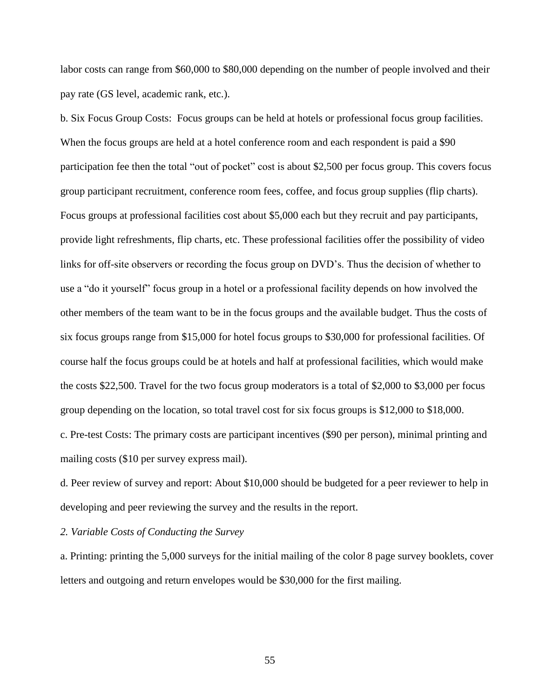labor costs can range from \$60,000 to \$80,000 depending on the number of people involved and their pay rate (GS level, academic rank, etc.).

b. Six Focus Group Costs: Focus groups can be held at hotels or professional focus group facilities. When the focus groups are held at a hotel conference room and each respondent is paid a \$90 participation fee then the total "out of pocket" cost is about \$2,500 per focus group. This covers focus group participant recruitment, conference room fees, coffee, and focus group supplies (flip charts). Focus groups at professional facilities cost about \$5,000 each but they recruit and pay participants, provide light refreshments, flip charts, etc. These professional facilities offer the possibility of video links for off-site observers or recording the focus group on DVD's. Thus the decision of whether to use a "do it yourself" focus group in a hotel or a professional facility depends on how involved the other members of the team want to be in the focus groups and the available budget. Thus the costs of six focus groups range from \$15,000 for hotel focus groups to \$30,000 for professional facilities. Of course half the focus groups could be at hotels and half at professional facilities, which would make the costs \$22,500. Travel for the two focus group moderators is a total of \$2,000 to \$3,000 per focus group depending on the location, so total travel cost for six focus groups is \$12,000 to \$18,000. c. Pre-test Costs: The primary costs are participant incentives (\$90 per person), minimal printing and mailing costs (\$10 per survey express mail).

d. Peer review of survey and report: About \$10,000 should be budgeted for a peer reviewer to help in developing and peer reviewing the survey and the results in the report.

*2. Variable Costs of Conducting the Survey*

a. Printing: printing the 5,000 surveys for the initial mailing of the color 8 page survey booklets, cover letters and outgoing and return envelopes would be \$30,000 for the first mailing.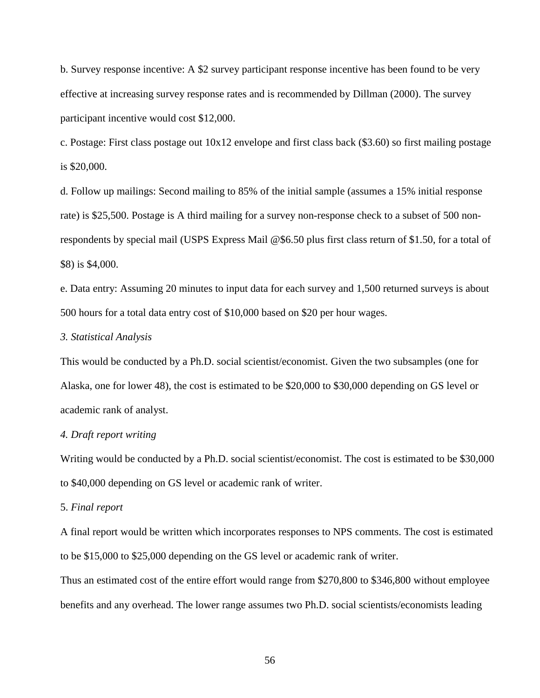b. Survey response incentive: A \$2 survey participant response incentive has been found to be very effective at increasing survey response rates and is recommended by Dillman (2000). The survey participant incentive would cost \$12,000.

c. Postage: First class postage out 10x12 envelope and first class back (\$3.60) so first mailing postage is \$20,000.

d. Follow up mailings: Second mailing to 85% of the initial sample (assumes a 15% initial response rate) is \$25,500. Postage is A third mailing for a survey non-response check to a subset of 500 nonrespondents by special mail (USPS Express Mail @\$6.50 plus first class return of \$1.50, for a total of \$8) is \$4,000.

e. Data entry: Assuming 20 minutes to input data for each survey and 1,500 returned surveys is about 500 hours for a total data entry cost of \$10,000 based on \$20 per hour wages.

### *3. Statistical Analysis*

This would be conducted by a Ph.D. social scientist/economist. Given the two subsamples (one for Alaska, one for lower 48), the cost is estimated to be \$20,000 to \$30,000 depending on GS level or academic rank of analyst.

# *4. Draft report writing*

Writing would be conducted by a Ph.D. social scientist/economist. The cost is estimated to be \$30,000 to \$40,000 depending on GS level or academic rank of writer.

### 5. *Final report*

A final report would be written which incorporates responses to NPS comments. The cost is estimated to be \$15,000 to \$25,000 depending on the GS level or academic rank of writer.

Thus an estimated cost of the entire effort would range from \$270,800 to \$346,800 without employee benefits and any overhead. The lower range assumes two Ph.D. social scientists/economists leading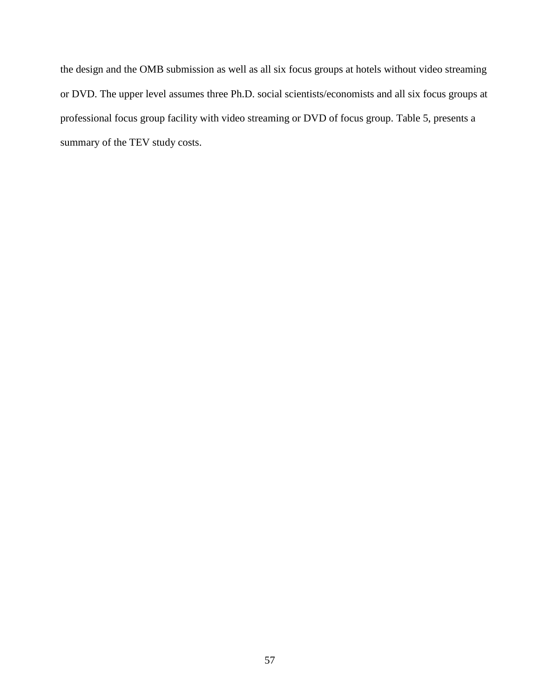the design and the OMB submission as well as all six focus groups at hotels without video streaming or DVD. The upper level assumes three Ph.D. social scientists/economists and all six focus groups at professional focus group facility with video streaming or DVD of focus group. Table 5, presents a summary of the TEV study costs.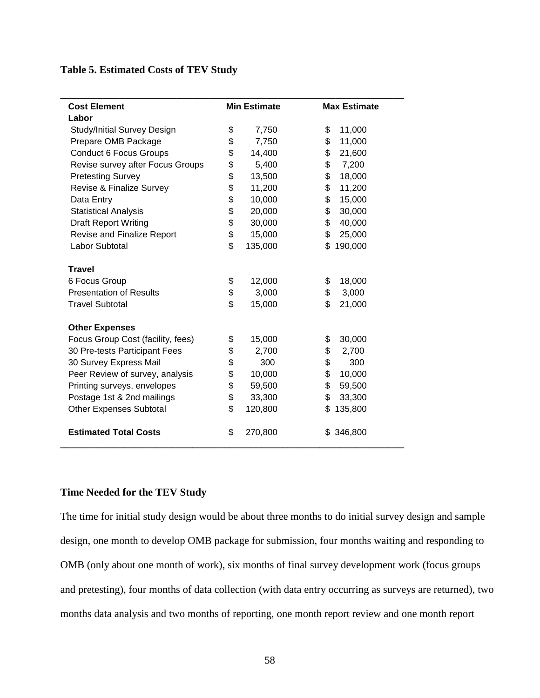# **Table 5. Estimated Costs of TEV Study**

| <b>Cost Element</b>                |    | <b>Min Estimate</b> |     | <b>Max Estimate</b> |  |
|------------------------------------|----|---------------------|-----|---------------------|--|
| Labor                              |    |                     |     |                     |  |
| <b>Study/Initial Survey Design</b> | \$ | 7,750               | \$  | 11,000              |  |
| Prepare OMB Package                | \$ | 7,750               | \$  | 11,000              |  |
| <b>Conduct 6 Focus Groups</b>      | \$ | 14,400              | \$  | 21,600              |  |
| Revise survey after Focus Groups   | \$ | 5,400               | \$  | 7,200               |  |
| <b>Pretesting Survey</b>           | \$ | 13,500              | \$  | 18,000              |  |
| Revise & Finalize Survey           | \$ | 11,200              | \$  | 11,200              |  |
| Data Entry                         | \$ | 10,000              | \$  | 15,000              |  |
| <b>Statistical Analysis</b>        | \$ | 20,000              | \$  | 30,000              |  |
| <b>Draft Report Writing</b>        | \$ | 30,000              | \$  | 40,000              |  |
| Revise and Finalize Report         | \$ | 15,000              | \$  | 25,000              |  |
| Labor Subtotal                     | \$ | 135,000             | \$  | 190,000             |  |
|                                    |    |                     |     |                     |  |
| <b>Travel</b>                      |    |                     |     |                     |  |
| 6 Focus Group                      | \$ | 12,000              | \$  | 18,000              |  |
| <b>Presentation of Results</b>     | \$ | 3,000               | \$  | 3,000               |  |
| <b>Travel Subtotal</b>             | \$ | 15,000              | \$  | 21,000              |  |
|                                    |    |                     |     |                     |  |
| <b>Other Expenses</b>              |    |                     |     |                     |  |
| Focus Group Cost (facility, fees)  | \$ | 15,000              | \$  | 30,000              |  |
| 30 Pre-tests Participant Fees      | \$ | 2,700               | \$  | 2,700               |  |
| 30 Survey Express Mail             | \$ | 300                 | \$  | 300                 |  |
| Peer Review of survey, analysis    | \$ | 10,000              | \$  | 10,000              |  |
| Printing surveys, envelopes        | \$ | 59,500              | \$  | 59,500              |  |
| Postage 1st & 2nd mailings         | \$ | 33,300              | \$  | 33,300              |  |
| <b>Other Expenses Subtotal</b>     | \$ | 120,800             | \$  | 135,800             |  |
| <b>Estimated Total Costs</b>       | \$ | 270,800             | \$. | 346,800             |  |

# **Time Needed for the TEV Study**

The time for initial study design would be about three months to do initial survey design and sample design, one month to develop OMB package for submission, four months waiting and responding to OMB (only about one month of work), six months of final survey development work (focus groups and pretesting), four months of data collection (with data entry occurring as surveys are returned), two months data analysis and two months of reporting, one month report review and one month report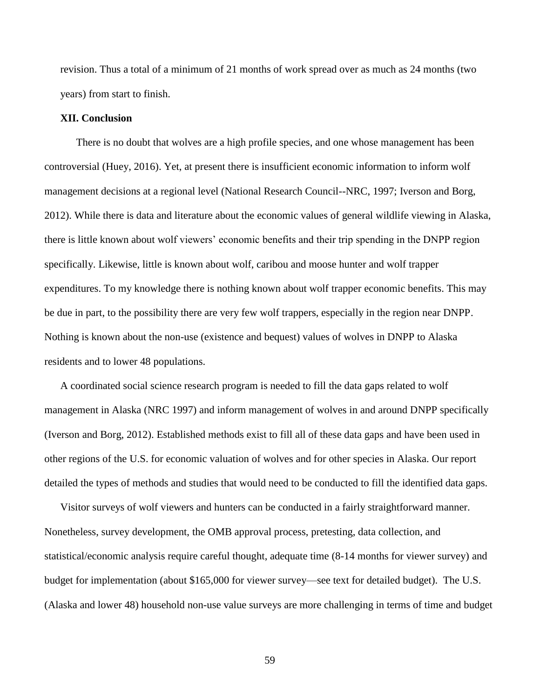revision. Thus a total of a minimum of 21 months of work spread over as much as 24 months (two years) from start to finish.

# **XII. Conclusion**

There is no doubt that wolves are a high profile species, and one whose management has been controversial (Huey, 2016). Yet, at present there is insufficient economic information to inform wolf management decisions at a regional level (National Research Council--NRC, 1997; Iverson and Borg, 2012). While there is data and literature about the economic values of general wildlife viewing in Alaska, there is little known about wolf viewers' economic benefits and their trip spending in the DNPP region specifically. Likewise, little is known about wolf, caribou and moose hunter and wolf trapper expenditures. To my knowledge there is nothing known about wolf trapper economic benefits. This may be due in part, to the possibility there are very few wolf trappers, especially in the region near DNPP. Nothing is known about the non-use (existence and bequest) values of wolves in DNPP to Alaska residents and to lower 48 populations.

A coordinated social science research program is needed to fill the data gaps related to wolf management in Alaska (NRC 1997) and inform management of wolves in and around DNPP specifically (Iverson and Borg, 2012). Established methods exist to fill all of these data gaps and have been used in other regions of the U.S. for economic valuation of wolves and for other species in Alaska. Our report detailed the types of methods and studies that would need to be conducted to fill the identified data gaps.

Visitor surveys of wolf viewers and hunters can be conducted in a fairly straightforward manner. Nonetheless, survey development, the OMB approval process, pretesting, data collection, and statistical/economic analysis require careful thought, adequate time (8-14 months for viewer survey) and budget for implementation (about \$165,000 for viewer survey—see text for detailed budget). The U.S. (Alaska and lower 48) household non-use value surveys are more challenging in terms of time and budget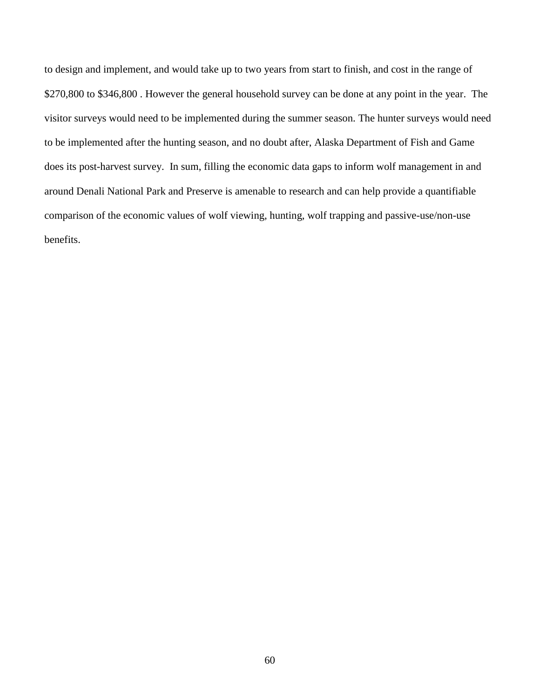to design and implement, and would take up to two years from start to finish, and cost in the range of \$270,800 to \$346,800 . However the general household survey can be done at any point in the year. The visitor surveys would need to be implemented during the summer season. The hunter surveys would need to be implemented after the hunting season, and no doubt after, Alaska Department of Fish and Game does its post-harvest survey. In sum, filling the economic data gaps to inform wolf management in and around Denali National Park and Preserve is amenable to research and can help provide a quantifiable comparison of the economic values of wolf viewing, hunting, wolf trapping and passive-use/non-use benefits.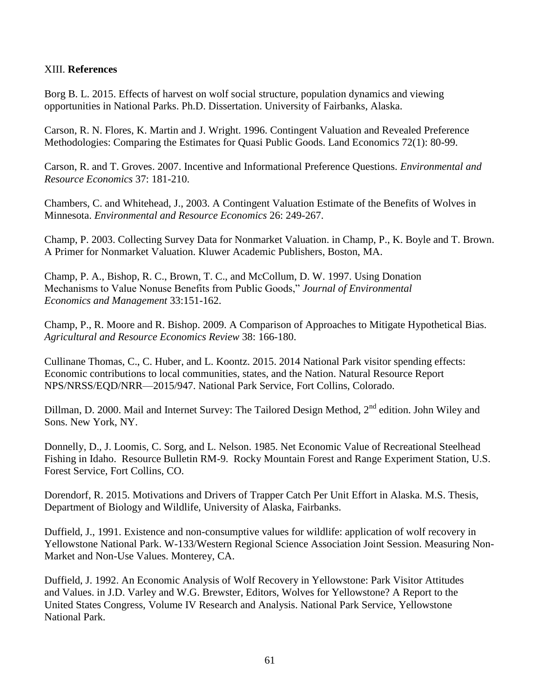# XIII. **References**

Borg B. L. 2015. Effects of harvest on wolf social structure, population dynamics and viewing opportunities in National Parks. Ph.D. Dissertation. University of Fairbanks, Alaska.

Carson, R. N. Flores, K. Martin and J. Wright. 1996. Contingent Valuation and Revealed Preference Methodologies: Comparing the Estimates for Quasi Public Goods. Land Economics 72(1): 80-99.

Carson, R. and T. Groves. 2007. Incentive and Informational Preference Questions. *Environmental and Resource Economics* 37: 181-210.

Chambers, C. and Whitehead, J., 2003. A Contingent Valuation Estimate of the Benefits of Wolves in Minnesota. *Environmental and Resource Economics* 26: 249-267.

Champ, P. 2003. Collecting Survey Data for Nonmarket Valuation. in Champ, P., K. Boyle and T. Brown. A Primer for Nonmarket Valuation. Kluwer Academic Publishers, Boston, MA.

Champ, P. A., Bishop, R. C., Brown, T. C., and McCollum, D. W. 1997. Using Donation Mechanisms to Value Nonuse Benefits from Public Goods," *Journal of Environmental Economics and Management* 33:151-162.

Champ, P., R. Moore and R. Bishop. 2009. A Comparison of Approaches to Mitigate Hypothetical Bias. *Agricultural and Resource Economics Review* 38: 166-180.

Cullinane Thomas, C., C. Huber, and L. Koontz. 2015. 2014 National Park visitor spending effects: Economic contributions to local communities, states, and the Nation. Natural Resource Report NPS/NRSS/EQD/NRR—2015/947. National Park Service, Fort Collins, Colorado.

Dillman, D. 2000. Mail and Internet Survey: The Tailored Design Method, 2<sup>nd</sup> edition. John Wiley and Sons. New York, NY.

Donnelly, D., J. Loomis, C. Sorg, and L. Nelson. 1985. Net Economic Value of Recreational Steelhead Fishing in Idaho. Resource Bulletin RM-9. Rocky Mountain Forest and Range Experiment Station, U.S. Forest Service, Fort Collins, CO.

Dorendorf, R. 2015. Motivations and Drivers of Trapper Catch Per Unit Effort in Alaska. M.S. Thesis, Department of Biology and Wildlife, University of Alaska, Fairbanks.

Duffield, J., 1991. Existence and non-consumptive values for wildlife: application of wolf recovery in Yellowstone National Park. W-133/Western Regional Science Association Joint Session. Measuring Non-Market and Non-Use Values. Monterey, CA.

Duffield, J. 1992. An Economic Analysis of Wolf Recovery in Yellowstone: Park Visitor Attitudes and Values. in J.D. Varley and W.G. Brewster, Editors, Wolves for Yellowstone? A Report to the United States Congress, Volume IV Research and Analysis. National Park Service, Yellowstone National Park.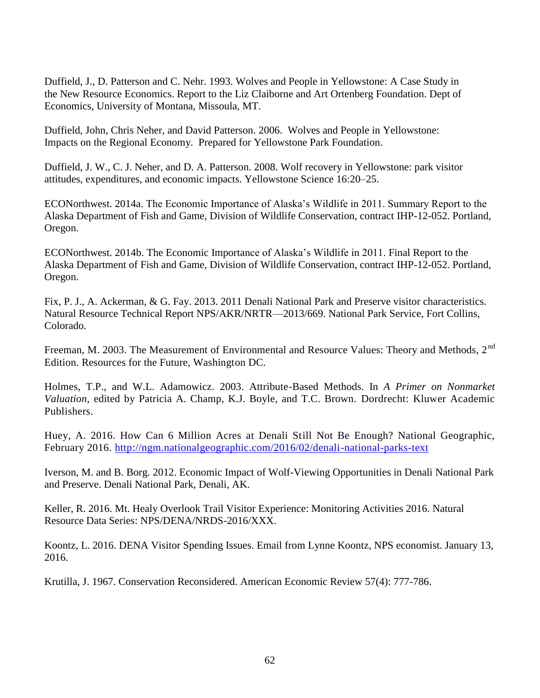Duffield, J., D. Patterson and C. Nehr. 1993. Wolves and People in Yellowstone: A Case Study in the New Resource Economics. Report to the Liz Claiborne and Art Ortenberg Foundation. Dept of Economics, University of Montana, Missoula, MT.

Duffield, John, Chris Neher, and David Patterson. 2006. Wolves and People in Yellowstone: Impacts on the Regional Economy. Prepared for Yellowstone Park Foundation.

Duffield, J. W., C. J. Neher, and D. A. Patterson. 2008. Wolf recovery in Yellowstone: park visitor attitudes, expenditures, and economic impacts. Yellowstone Science 16:20–25.

ECONorthwest. 2014a. The Economic Importance of Alaska's Wildlife in 2011. Summary Report to the Alaska Department of Fish and Game, Division of Wildlife Conservation, contract IHP-12-052. Portland, Oregon.

ECONorthwest. 2014b. The Economic Importance of Alaska's Wildlife in 2011. Final Report to the Alaska Department of Fish and Game, Division of Wildlife Conservation, contract IHP-12-052. Portland, Oregon.

Fix, P. J., A. Ackerman, & G. Fay. 2013. 2011 Denali National Park and Preserve visitor characteristics. Natural Resource Technical Report NPS/AKR/NRTR—2013/669. National Park Service, Fort Collins, Colorado.

Freeman, M. 2003. The Measurement of Environmental and Resource Values: Theory and Methods, 2<sup>nd</sup> Edition. Resources for the Future, Washington DC.

Holmes, T.P., and W.L. Adamowicz. 2003. Attribute-Based Methods. In *A Primer on Nonmarket Valuation,* edited by Patricia A. Champ, K.J. Boyle, and T.C. Brown. Dordrecht: Kluwer Academic Publishers.

Huey, A. 2016. How Can 6 Million Acres at Denali Still Not Be Enough? National Geographic, February 2016.<http://ngm.nationalgeographic.com/2016/02/denali-national-parks-text>

Iverson, M. and B. Borg. 2012. Economic Impact of Wolf-Viewing Opportunities in Denali National Park and Preserve. Denali National Park, Denali, AK.

Keller, R. 2016. Mt. Healy Overlook Trail Visitor Experience: Monitoring Activities 2016. Natural Resource Data Series: NPS/DENA/NRDS-2016/XXX.

Koontz, L. 2016. DENA Visitor Spending Issues. Email from Lynne Koontz, NPS economist. January 13, 2016.

Krutilla, J. 1967. Conservation Reconsidered. American Economic Review 57(4): 777-786.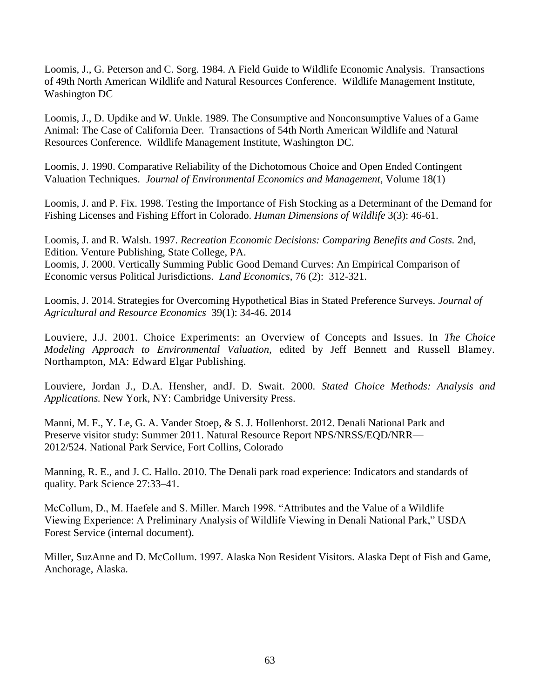Loomis, J., G. Peterson and C. Sorg. 1984. A Field Guide to Wildlife Economic Analysis. Transactions of 49th North American Wildlife and Natural Resources Conference. Wildlife Management Institute, Washington DC

Loomis, J., D. Updike and W. Unkle. 1989. The Consumptive and Nonconsumptive Values of a Game Animal: The Case of California Deer. Transactions of 54th North American Wildlife and Natural Resources Conference. Wildlife Management Institute, Washington DC.

Loomis, J. 1990. Comparative Reliability of the Dichotomous Choice and Open Ended Contingent Valuation Techniques. *Journal of Environmental Economics and Management*, Volume 18(1)

Loomis, J. and P. Fix. 1998. Testing the Importance of Fish Stocking as a Determinant of the Demand for Fishing Licenses and Fishing Effort in Colorado. *Human Dimensions of Wildlife* 3(3): 46-61.

Loomis, J. and R. Walsh. 1997. *Recreation Economic Decisions: Comparing Benefits and Costs.* 2nd, Edition. Venture Publishing, State College, PA. Loomis, J. 2000. Vertically Summing Public Good Demand Curves: An Empirical Comparison of Economic versus Political Jurisdictions. *Land Economics*, 76 (2): 312-321.

Loomis, J. 2014. Strategies for Overcoming Hypothetical Bias in Stated Preference Surveys. *Journal of Agricultural and Resource Economics* 39(1): 34-46. 2014

Louviere, J.J. 2001. Choice Experiments: an Overview of Concepts and Issues. In *The Choice Modeling Approach to Environmental Valuation,* edited by Jeff Bennett and Russell Blamey. Northampton, MA: Edward Elgar Publishing.

Louviere, Jordan J., D.A. Hensher, andJ. D. Swait. 2000. *Stated Choice Methods: Analysis and Applications.* New York, NY: Cambridge University Press.

Manni, M. F., Y. Le, G. A. Vander Stoep, & S. J. Hollenhorst. 2012. Denali National Park and Preserve visitor study: Summer 2011. Natural Resource Report NPS/NRSS/EQD/NRR— 2012/524. National Park Service, Fort Collins, Colorado

Manning, R. E., and J. C. Hallo. 2010. The Denali park road experience: Indicators and standards of quality. Park Science 27:33–41.

McCollum, D., M. Haefele and S. Miller. March 1998. "Attributes and the Value of a Wildlife Viewing Experience: A Preliminary Analysis of Wildlife Viewing in Denali National Park," USDA Forest Service (internal document).

Miller, SuzAnne and D. McCollum. 1997. Alaska Non Resident Visitors. Alaska Dept of Fish and Game, Anchorage, Alaska.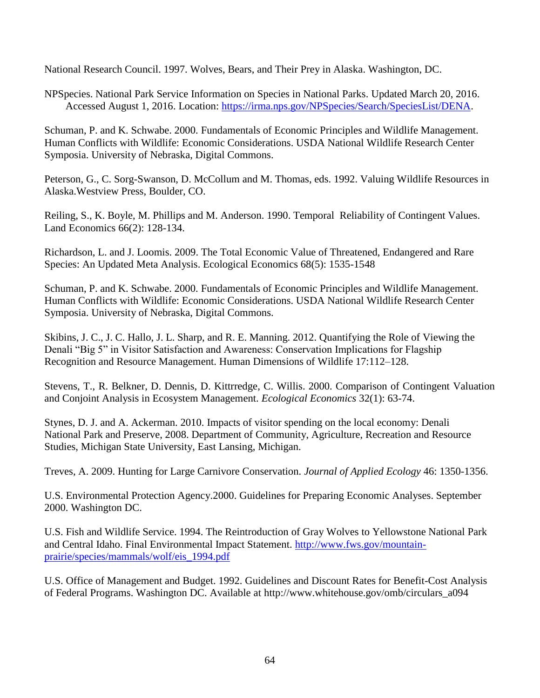National Research Council. 1997. Wolves, Bears, and Their Prey in Alaska. Washington, DC.

NPSpecies. National Park Service Information on Species in National Parks. Updated March 20, 2016. Accessed August 1, 2016. Location: [https://irma.nps.gov/NPSpecies/Search/SpeciesList/DENA.](https://irma.nps.gov/NPSpecies/Search/SpeciesList/DENA)

Schuman, P. and K. Schwabe. 2000. Fundamentals of Economic Principles and Wildlife Management. Human Conflicts with Wildlife: Economic Considerations. USDA National Wildlife Research Center Symposia. University of Nebraska, Digital Commons.

Peterson, G., C. Sorg-Swanson, D. McCollum and M. Thomas, eds. 1992. Valuing Wildlife Resources in Alaska.Westview Press, Boulder, CO.

Reiling, S., K. Boyle, M. Phillips and M. Anderson. 1990. Temporal Reliability of Contingent Values. Land Economics 66(2): 128-134.

Richardson, L. and J. Loomis. 2009. The Total Economic Value of Threatened, Endangered and Rare Species: An Updated Meta Analysis. Ecological Economics 68(5): 1535-1548

Schuman, P. and K. Schwabe. 2000. Fundamentals of Economic Principles and Wildlife Management. Human Conflicts with Wildlife: Economic Considerations. USDA National Wildlife Research Center Symposia. University of Nebraska, Digital Commons.

Skibins, J. C., J. C. Hallo, J. L. Sharp, and R. E. Manning. 2012. Quantifying the Role of Viewing the Denali "Big 5" in Visitor Satisfaction and Awareness: Conservation Implications for Flagship Recognition and Resource Management. Human Dimensions of Wildlife 17:112–128.

Stevens, T., R. Belkner, D. Dennis, D. Kittrredge, C. Willis. 2000. Comparison of Contingent Valuation and Conjoint Analysis in Ecosystem Management. *Ecological Economics* 32(1): 63-74.

Stynes, D. J. and A. Ackerman. 2010. Impacts of visitor spending on the local economy: Denali National Park and Preserve, 2008. Department of Community, Agriculture, Recreation and Resource Studies, Michigan State University, East Lansing, Michigan.

Treves, A. 2009. Hunting for Large Carnivore Conservation. *Journal of Applied Ecology* 46: 1350-1356.

U.S. Environmental Protection Agency.2000. Guidelines for Preparing Economic Analyses. September 2000. Washington DC.

U.S. Fish and Wildlife Service. 1994. The Reintroduction of Gray Wolves to Yellowstone National Park and Central Idaho. Final Environmental Impact Statement. [http://www.fws.gov/mountain](http://www.fws.gov/mountain-prairie/species/mammals/wolf/eis_1994.pdf)[prairie/species/mammals/wolf/eis\\_1994.pdf](http://www.fws.gov/mountain-prairie/species/mammals/wolf/eis_1994.pdf)

U.S. Office of Management and Budget. 1992. Guidelines and Discount Rates for Benefit-Cost Analysis of Federal Programs. Washington DC. Available at http://www.whitehouse.gov/omb/circulars\_a094